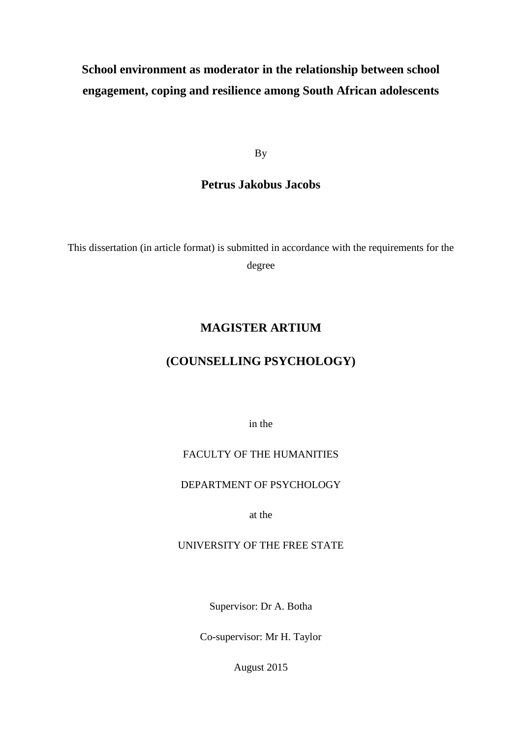# **School environment as moderator in the relationship between school engagement, coping and resilience among South African adolescents**

By

# **Petrus Jakobus Jacobs**

This dissertation (in article format) is submitted in accordance with the requirements for the

degree

# **MAGISTER ARTIUM**

# **(COUNSELLING PSYCHOLOGY)**

in the

# FACULTY OF THE HUMANITIES

# DEPARTMENT OF PSYCHOLOGY

at the

UNIVERSITY OF THE FREE STATE

Supervisor: Dr A. Botha

Co-supervisor: Mr H. Taylor

August 2015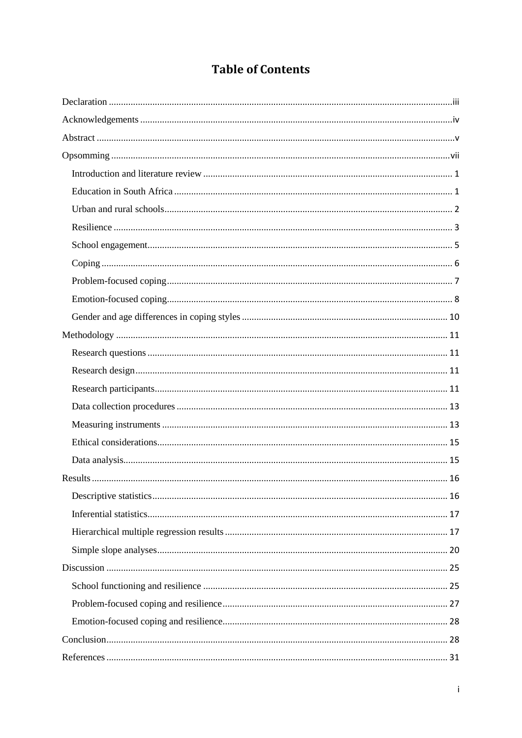# **Table of Contents**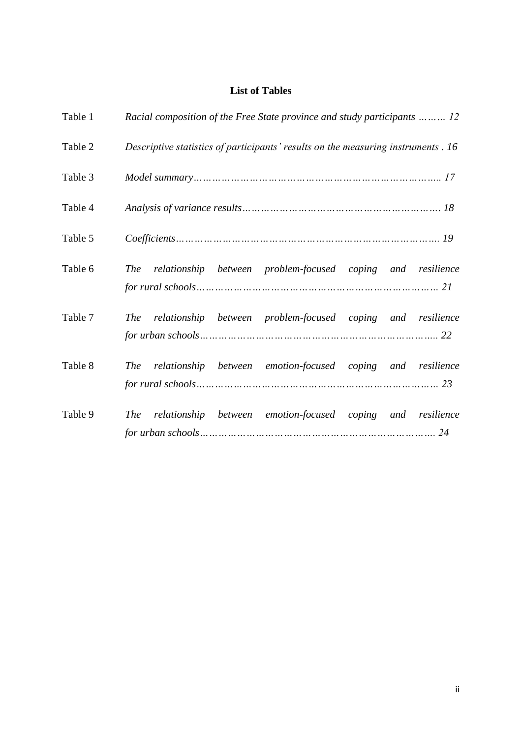# **List of Tables**

| Table 1 | Racial composition of the Free State province and study participants   12         |
|---------|-----------------------------------------------------------------------------------|
| Table 2 | Descriptive statistics of participants' results on the measuring instruments . 16 |
| Table 3 |                                                                                   |
| Table 4 |                                                                                   |
| Table 5 |                                                                                   |
| Table 6 | The relationship between problem-focused coping and resilience                    |
| Table 7 | The relationship between problem-focused coping and resilience                    |
| Table 8 | The relationship between emotion-focused coping and resilience                    |
| Table 9 | The relationship between emotion-focused coping and resilience                    |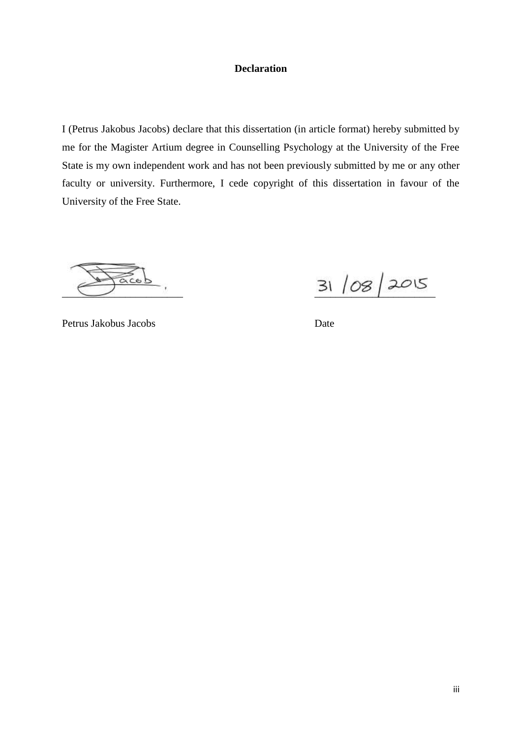# **Declaration**

<span id="page-3-0"></span>I (Petrus Jakobus Jacobs) declare that this dissertation (in article format) hereby submitted by me for the Magister Artium degree in Counselling Psychology at the University of the Free State is my own independent work and has not been previously submitted by me or any other faculty or university. Furthermore, I cede copyright of this dissertation in favour of the University of the Free State.

 $31 / 08 / 2015$ 

Petrus Jakobus Jacobs Date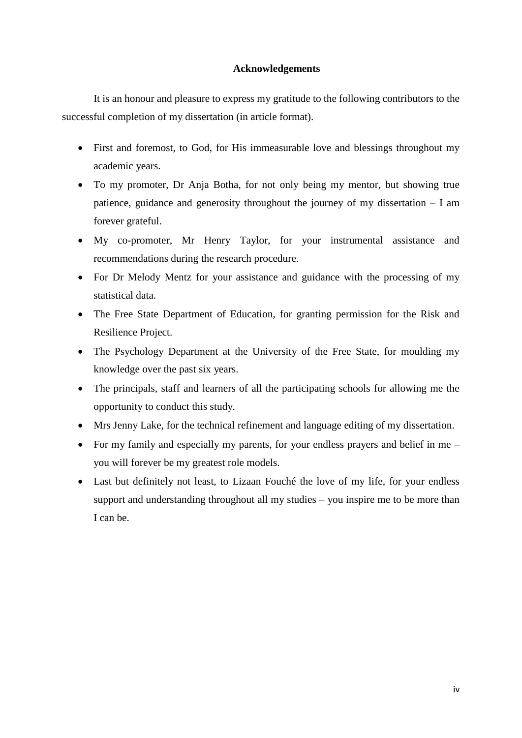# **Acknowledgements**

<span id="page-4-0"></span>It is an honour and pleasure to express my gratitude to the following contributors to the successful completion of my dissertation (in article format).

- First and foremost, to God, for His immeasurable love and blessings throughout my academic years.
- To my promoter, Dr Anja Botha, for not only being my mentor, but showing true patience, guidance and generosity throughout the journey of my dissertation – I am forever grateful.
- My co-promoter, Mr Henry Taylor, for your instrumental assistance and recommendations during the research procedure.
- For Dr Melody Mentz for your assistance and guidance with the processing of my statistical data.
- The Free State Department of Education, for granting permission for the Risk and Resilience Project.
- The Psychology Department at the University of the Free State, for moulding my knowledge over the past six years.
- The principals, staff and learners of all the participating schools for allowing me the opportunity to conduct this study.
- Mrs Jenny Lake, for the technical refinement and language editing of my dissertation.
- For my family and especially my parents, for your endless prayers and belief in me you will forever be my greatest role models.
- Last but definitely not least, to Lizaan Fouché the love of my life, for your endless support and understanding throughout all my studies – you inspire me to be more than I can be.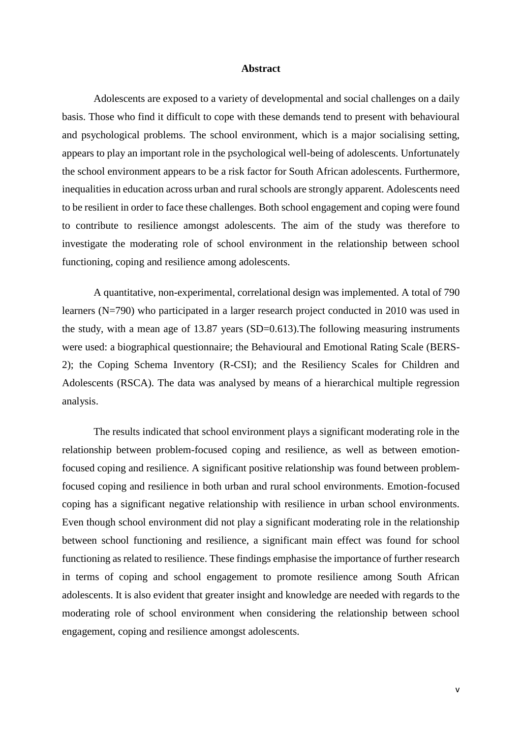#### **Abstract**

<span id="page-5-0"></span>Adolescents are exposed to a variety of developmental and social challenges on a daily basis. Those who find it difficult to cope with these demands tend to present with behavioural and psychological problems. The school environment, which is a major socialising setting, appears to play an important role in the psychological well-being of adolescents. Unfortunately the school environment appears to be a risk factor for South African adolescents. Furthermore, inequalities in education across urban and rural schools are strongly apparent. Adolescents need to be resilient in order to face these challenges. Both school engagement and coping were found to contribute to resilience amongst adolescents. The aim of the study was therefore to investigate the moderating role of school environment in the relationship between school functioning, coping and resilience among adolescents.

A quantitative, non-experimental, correlational design was implemented. A total of 790 learners (N=790) who participated in a larger research project conducted in 2010 was used in the study, with a mean age of 13.87 years (SD=0.613).The following measuring instruments were used: a biographical questionnaire; the Behavioural and Emotional Rating Scale (BERS-2); the Coping Schema Inventory (R-CSI); and the Resiliency Scales for Children and Adolescents (RSCA). The data was analysed by means of a hierarchical multiple regression analysis.

The results indicated that school environment plays a significant moderating role in the relationship between problem-focused coping and resilience, as well as between emotionfocused coping and resilience. A significant positive relationship was found between problemfocused coping and resilience in both urban and rural school environments. Emotion-focused coping has a significant negative relationship with resilience in urban school environments. Even though school environment did not play a significant moderating role in the relationship between school functioning and resilience, a significant main effect was found for school functioning as related to resilience. These findings emphasise the importance of further research in terms of coping and school engagement to promote resilience among South African adolescents. It is also evident that greater insight and knowledge are needed with regards to the moderating role of school environment when considering the relationship between school engagement, coping and resilience amongst adolescents.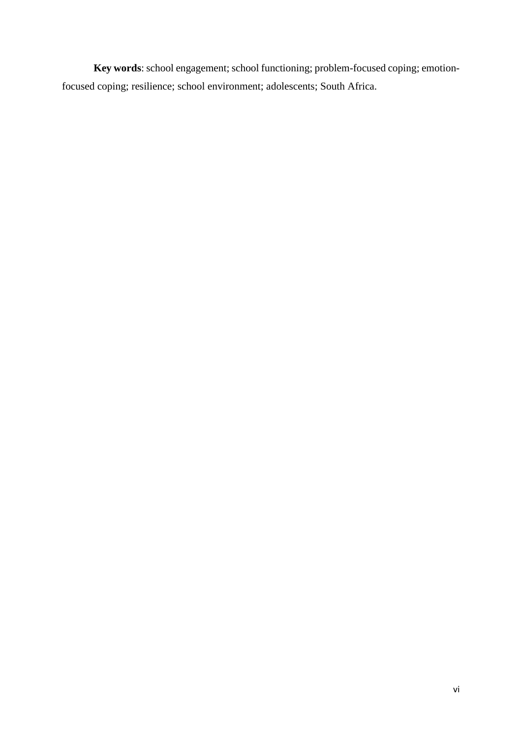**Key words**: school engagement; school functioning; problem-focused coping; emotionfocused coping; resilience; school environment; adolescents; South Africa.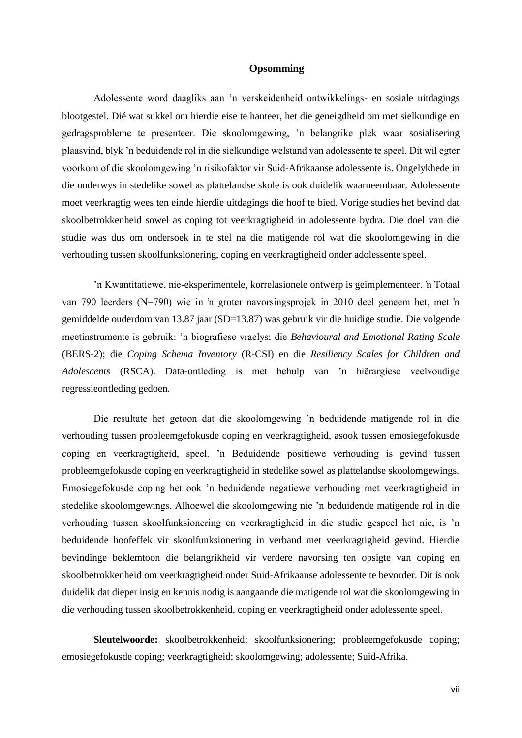### **Opsomming**

<span id="page-7-0"></span>Adolessente word daagliks aan 'n verskeidenheid ontwikkelings- en sosiale uitdagings blootgestel. Dié wat sukkel om hierdie eise te hanteer, het die geneigdheid om met sielkundige en gedragsprobleme te presenteer. Die skoolomgewing, 'n belangrike plek waar sosialisering plaasvind, blyk 'n beduidende rol in die sielkundige welstand van adolessente te speel. Dit wil egter voorkom of die skoolomgewing 'n risikofaktor vir Suid-Afrikaanse adolessente is. Ongelykhede in die onderwys in stedelike sowel as plattelandse skole is ook duidelik waarneembaar. Adolessente moet veerkragtig wees ten einde hierdie uitdagings die hoof te bied. Vorige studies het bevind dat skoolbetrokkenheid sowel as coping tot veerkragtigheid in adolessente bydra. Die doel van die studie was dus om ondersoek in te stel na die matigende rol wat die skoolomgewing in die verhouding tussen skoolfunksionering, coping en veerkragtigheid onder adolessente speel.

'n Kwantitatiewe, nie-eksperimentele, korrelasionele ontwerp is geïmplementeer. 'n Totaal van 790 leerders (N=790) wie in 'n groter navorsingsprojek in 2010 deel geneem het, met 'n gemiddelde ouderdom van 13.87 jaar (SD=13.87) was gebruik vir die huidige studie. Die volgende meetinstrumente is gebruik: 'n biografiese vraelys; die *Behavioural and Emotional Rating Scale* (BERS-2); die *Coping Schema Inventory* (R-CSI) en die *Resiliency Scales for Children and Adolescents* (RSCA). Data-ontleding is met behulp van 'n hiërargiese veelvoudige regressieontleding gedoen.

Die resultate het getoon dat die skoolomgewing 'n beduidende matigende rol in die verhouding tussen probleemgefokusde coping en veerkragtigheid, asook tussen emosiegefokusde coping en veerkragtigheid, speel. 'n Beduidende positiewe verhouding is gevind tussen probleemgefokusde coping en veerkragtigheid in stedelike sowel as plattelandse skoolomgewings. Emosiegefokusde coping het ook 'n beduidende negatiewe verhouding met veerkragtigheid in stedelike skoolomgewings. Alhoewel die skoolomgewing nie 'n beduidende matigende rol in die verhouding tussen skoolfunksionering en veerkragtigheid in die studie gespeel het nie, is 'n beduidende hoofeffek vir skoolfunksionering in verband met veerkragtigheid gevind. Hierdie bevindinge beklemtoon die belangrikheid vir verdere navorsing ten opsigte van coping en skoolbetrokkenheid om veerkragtigheid onder Suid-Afrikaanse adolessente te bevorder. Dit is ook duidelik dat dieper insig en kennis nodig is aangaande die matigende rol wat die skoolomgewing in die verhouding tussen skoolbetrokkenheid, coping en veerkragtigheid onder adolessente speel.

<span id="page-7-1"></span>**Sleutelwoorde:** skoolbetrokkenheid; skoolfunksionering; probleemgefokusde coping; emosiegefokusde coping; veerkragtigheid; skoolomgewing; adolessente; Suid-Afrika.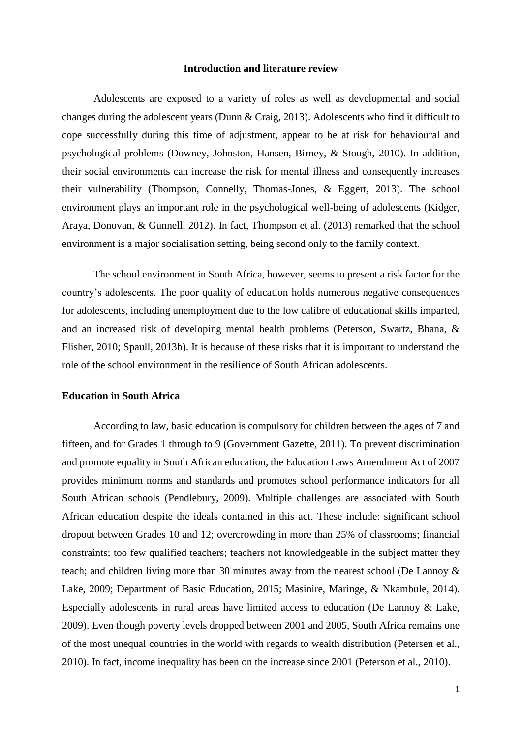### **Introduction and literature review**

Adolescents are exposed to a variety of roles as well as developmental and social changes during the adolescent years (Dunn & Craig, 2013). Adolescents who find it difficult to cope successfully during this time of adjustment, appear to be at risk for behavioural and psychological problems (Downey, Johnston, Hansen, Birney, & Stough, 2010). In addition, their social environments can increase the risk for mental illness and consequently increases their vulnerability (Thompson, Connelly, Thomas-Jones, & Eggert, 2013). The school environment plays an important role in the psychological well-being of adolescents (Kidger, Araya, Donovan, & Gunnell, 2012). In fact, Thompson et al. (2013) remarked that the school environment is a major socialisation setting, being second only to the family context.

The school environment in South Africa, however, seems to present a risk factor for the country's adolescents. The poor quality of education holds numerous negative consequences for adolescents, including unemployment due to the low calibre of educational skills imparted, and an increased risk of developing mental health problems (Peterson, Swartz, Bhana, & Flisher, 2010; Spaull, 2013b). It is because of these risks that it is important to understand the role of the school environment in the resilience of South African adolescents.

#### <span id="page-8-0"></span>**Education in South Africa**

According to law, basic education is compulsory for children between the ages of 7 and fifteen, and for Grades 1 through to 9 (Government Gazette, 2011). To prevent discrimination and promote equality in South African education, the Education Laws Amendment Act of 2007 provides minimum norms and standards and promotes school performance indicators for all South African schools (Pendlebury, 2009). Multiple challenges are associated with South African education despite the ideals contained in this act. These include: significant school dropout between Grades 10 and 12; overcrowding in more than 25% of classrooms; financial constraints; too few qualified teachers; teachers not knowledgeable in the subject matter they teach; and children living more than 30 minutes away from the nearest school (De Lannoy & Lake, 2009; Department of Basic Education, 2015; Masinire, Maringe, & Nkambule, 2014). Especially adolescents in rural areas have limited access to education (De Lannoy & Lake, 2009). Even though poverty levels dropped between 2001 and 2005, South Africa remains one of the most unequal countries in the world with regards to wealth distribution (Petersen et al., 2010). In fact, income inequality has been on the increase since 2001 (Peterson et al., 2010).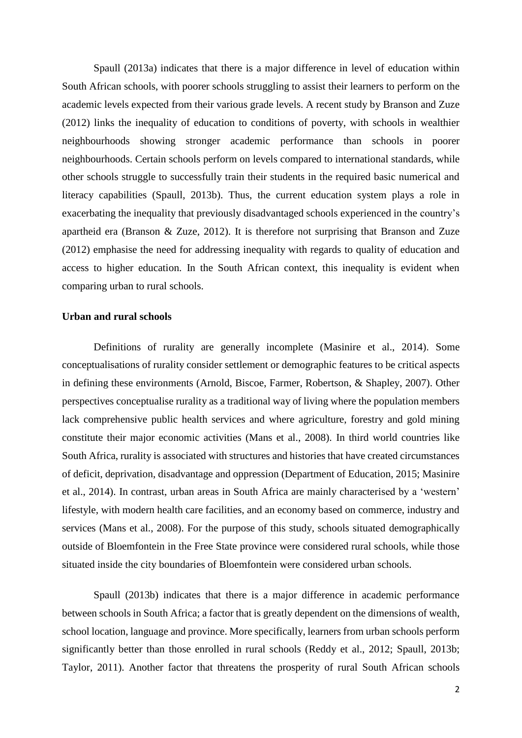Spaull (2013a) indicates that there is a major difference in level of education within South African schools, with poorer schools struggling to assist their learners to perform on the academic levels expected from their various grade levels. A recent study by Branson and Zuze (2012) links the inequality of education to conditions of poverty, with schools in wealthier neighbourhoods showing stronger academic performance than schools in poorer neighbourhoods. Certain schools perform on levels compared to international standards, while other schools struggle to successfully train their students in the required basic numerical and literacy capabilities (Spaull, 2013b). Thus, the current education system plays a role in exacerbating the inequality that previously disadvantaged schools experienced in the country's apartheid era (Branson & Zuze, 2012). It is therefore not surprising that Branson and Zuze (2012) emphasise the need for addressing inequality with regards to quality of education and access to higher education. In the South African context, this inequality is evident when comparing urban to rural schools.

#### <span id="page-9-0"></span>**Urban and rural schools**

Definitions of rurality are generally incomplete (Masinire et al., 2014). Some conceptualisations of rurality consider settlement or demographic features to be critical aspects in defining these environments (Arnold, Biscoe, Farmer, Robertson, & Shapley, 2007). Other perspectives conceptualise rurality as a traditional way of living where the population members lack comprehensive public health services and where agriculture, forestry and gold mining constitute their major economic activities (Mans et al., 2008). In third world countries like South Africa, rurality is associated with structures and histories that have created circumstances of deficit, deprivation, disadvantage and oppression (Department of Education, 2015; Masinire et al., 2014). In contrast, urban areas in South Africa are mainly characterised by a 'western' lifestyle, with modern health care facilities, and an economy based on commerce, industry and services (Mans et al., 2008). For the purpose of this study, schools situated demographically outside of Bloemfontein in the Free State province were considered rural schools, while those situated inside the city boundaries of Bloemfontein were considered urban schools.

Spaull (2013b) indicates that there is a major difference in academic performance between schools in South Africa; a factor that is greatly dependent on the dimensions of wealth, school location, language and province. More specifically, learners from urban schools perform significantly better than those enrolled in rural schools (Reddy et al., 2012; Spaull, 2013b; Taylor, 2011). Another factor that threatens the prosperity of rural South African schools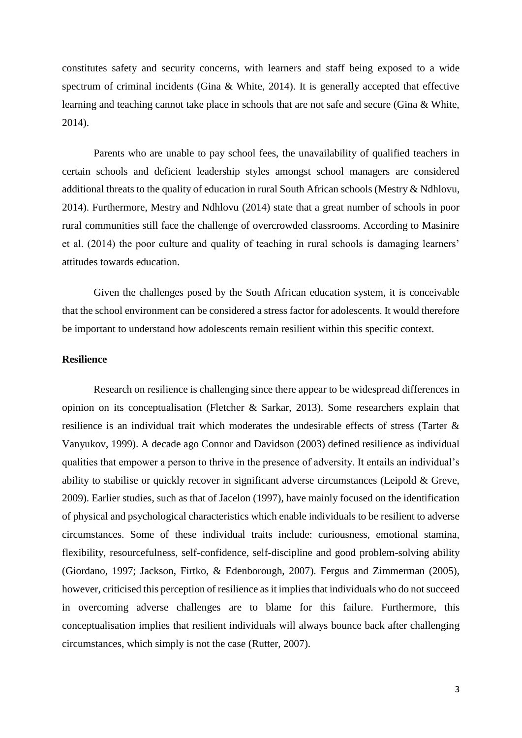constitutes safety and security concerns, with learners and staff being exposed to a wide spectrum of criminal incidents (Gina & White, 2014). It is generally accepted that effective learning and teaching cannot take place in schools that are not safe and secure (Gina & White, 2014).

Parents who are unable to pay school fees, the unavailability of qualified teachers in certain schools and deficient leadership styles amongst school managers are considered additional threats to the quality of education in rural South African schools (Mestry & Ndhlovu, 2014). Furthermore, Mestry and Ndhlovu (2014) state that a great number of schools in poor rural communities still face the challenge of overcrowded classrooms. According to Masinire et al. (2014) the poor culture and quality of teaching in rural schools is damaging learners' attitudes towards education.

Given the challenges posed by the South African education system, it is conceivable that the school environment can be considered a stress factor for adolescents. It would therefore be important to understand how adolescents remain resilient within this specific context.

# <span id="page-10-0"></span>**Resilience**

Research on resilience is challenging since there appear to be widespread differences in opinion on its conceptualisation (Fletcher & Sarkar, 2013). Some researchers explain that resilience is an individual trait which moderates the undesirable effects of stress (Tarter & Vanyukov, 1999). A decade ago Connor and Davidson (2003) defined resilience as individual qualities that empower a person to thrive in the presence of adversity. It entails an individual's ability to stabilise or quickly recover in significant adverse circumstances (Leipold & Greve, 2009). Earlier studies, such as that of Jacelon (1997), have mainly focused on the identification of physical and psychological characteristics which enable individuals to be resilient to adverse circumstances. Some of these individual traits include: curiousness, emotional stamina, flexibility, resourcefulness, self-confidence, self-discipline and good problem-solving ability (Giordano, 1997; Jackson, Firtko, & Edenborough, 2007). Fergus and Zimmerman (2005), however, criticised this perception of resilience as it implies that individuals who do not succeed in overcoming adverse challenges are to blame for this failure. Furthermore, this conceptualisation implies that resilient individuals will always bounce back after challenging circumstances, which simply is not the case (Rutter, 2007).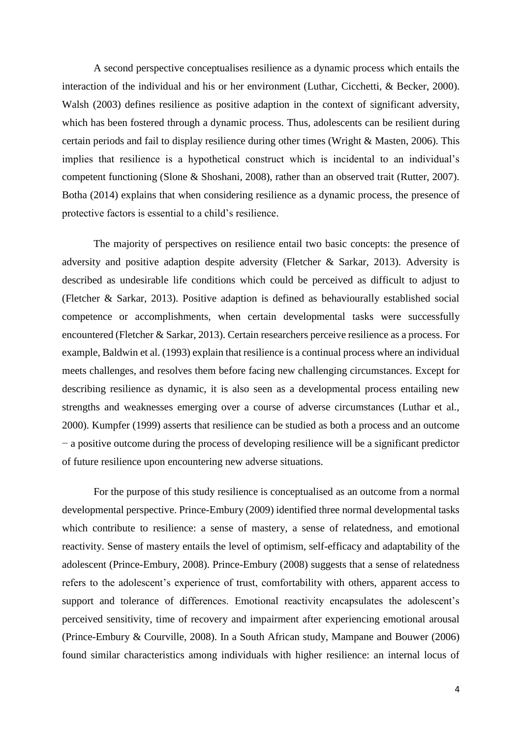A second perspective conceptualises resilience as a dynamic process which entails the interaction of the individual and his or her environment (Luthar, Cicchetti, & Becker, 2000). Walsh (2003) defines resilience as positive adaption in the context of significant adversity, which has been fostered through a dynamic process. Thus, adolescents can be resilient during certain periods and fail to display resilience during other times (Wright & Masten, 2006). This implies that resilience is a hypothetical construct which is incidental to an individual's competent functioning (Slone & Shoshani, 2008), rather than an observed trait (Rutter, 2007). Botha (2014) explains that when considering resilience as a dynamic process, the presence of protective factors is essential to a child's resilience.

The majority of perspectives on resilience entail two basic concepts: the presence of adversity and positive adaption despite adversity (Fletcher & Sarkar, 2013). Adversity is described as undesirable life conditions which could be perceived as difficult to adjust to (Fletcher & Sarkar, 2013). Positive adaption is defined as behaviourally established social competence or accomplishments, when certain developmental tasks were successfully encountered (Fletcher & Sarkar, 2013). Certain researchers perceive resilience as a process. For example, Baldwin et al. (1993) explain that resilience is a continual process where an individual meets challenges, and resolves them before facing new challenging circumstances. Except for describing resilience as dynamic, it is also seen as a developmental process entailing new strengths and weaknesses emerging over a course of adverse circumstances (Luthar et al., 2000). Kumpfer (1999) asserts that resilience can be studied as both a process and an outcome − a positive outcome during the process of developing resilience will be a significant predictor of future resilience upon encountering new adverse situations.

For the purpose of this study resilience is conceptualised as an outcome from a normal developmental perspective. Prince-Embury (2009) identified three normal developmental tasks which contribute to resilience: a sense of mastery, a sense of relatedness, and emotional reactivity. Sense of mastery entails the level of optimism, self-efficacy and adaptability of the adolescent (Prince-Embury, 2008). Prince-Embury (2008) suggests that a sense of relatedness refers to the adolescent's experience of trust, comfortability with others, apparent access to support and tolerance of differences. Emotional reactivity encapsulates the adolescent's perceived sensitivity, time of recovery and impairment after experiencing emotional arousal (Prince-Embury & Courville, 2008). In a South African study, Mampane and Bouwer (2006) found similar characteristics among individuals with higher resilience: an internal locus of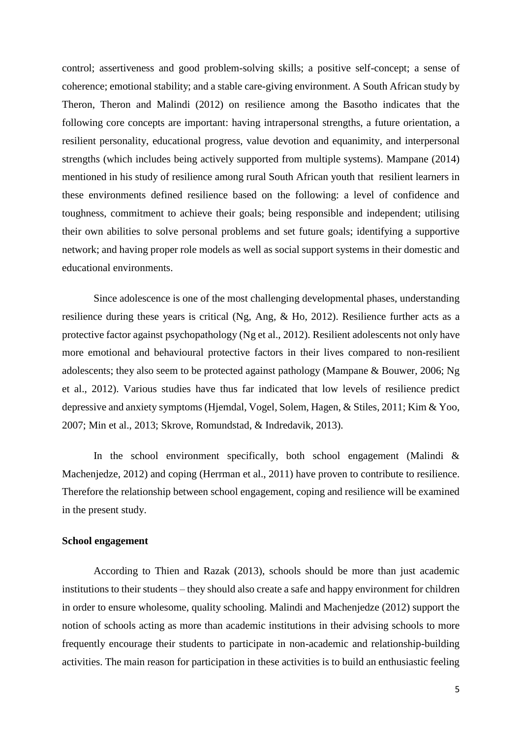control; assertiveness and good problem-solving skills; a positive self-concept; a sense of coherence; emotional stability; and a stable care-giving environment. A South African study by Theron, Theron and Malindi (2012) on resilience among the Basotho indicates that the following core concepts are important: having intrapersonal strengths, a future orientation, a resilient personality, educational progress, value devotion and equanimity, and interpersonal strengths (which includes being actively supported from multiple systems). Mampane (2014) mentioned in his study of resilience among rural South African youth that resilient learners in these environments defined resilience based on the following: a level of confidence and toughness, commitment to achieve their goals; being responsible and independent; utilising their own abilities to solve personal problems and set future goals; identifying a supportive network; and having proper role models as well as social support systems in their domestic and educational environments.

Since adolescence is one of the most challenging developmental phases, understanding resilience during these years is critical (Ng, Ang, & Ho, 2012). Resilience further acts as a protective factor against psychopathology (Ng et al., 2012). Resilient adolescents not only have more emotional and behavioural protective factors in their lives compared to non-resilient adolescents; they also seem to be protected against pathology (Mampane & Bouwer, 2006; Ng et al., 2012). Various studies have thus far indicated that low levels of resilience predict depressive and anxiety symptoms (Hjemdal, Vogel, Solem, Hagen, & Stiles, 2011; Kim & Yoo, 2007; Min et al., 2013; Skrove, Romundstad, & Indredavik, 2013).

In the school environment specifically, both school engagement (Malindi & Machenjedze, 2012) and coping (Herrman et al., 2011) have proven to contribute to resilience. Therefore the relationship between school engagement, coping and resilience will be examined in the present study.

### <span id="page-12-0"></span>**School engagement**

According to Thien and Razak (2013), schools should be more than just academic institutions to their students – they should also create a safe and happy environment for children in order to ensure wholesome, quality schooling. Malindi and Machenjedze (2012) support the notion of schools acting as more than academic institutions in their advising schools to more frequently encourage their students to participate in non-academic and relationship-building activities. The main reason for participation in these activities is to build an enthusiastic feeling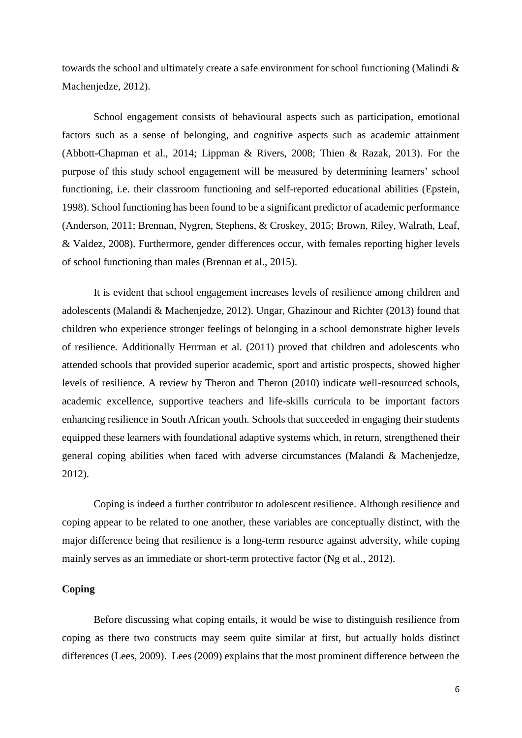towards the school and ultimately create a safe environment for school functioning (Malindi & Machenjedze, 2012).

School engagement consists of behavioural aspects such as participation, emotional factors such as a sense of belonging, and cognitive aspects such as academic attainment (Abbott-Chapman et al., 2014; Lippman & Rivers, 2008; Thien & Razak, 2013). For the purpose of this study school engagement will be measured by determining learners' school functioning, i.e. their classroom functioning and self-reported educational abilities (Epstein, 1998). School functioning has been found to be a significant predictor of academic performance (Anderson, 2011; Brennan, Nygren, Stephens, & Croskey, 2015; Brown, Riley, Walrath, Leaf, & Valdez, 2008). Furthermore, gender differences occur, with females reporting higher levels of school functioning than males (Brennan et al., 2015).

It is evident that school engagement increases levels of resilience among children and adolescents (Malandi & Machenjedze, 2012). Ungar, Ghazinour and Richter (2013) found that children who experience stronger feelings of belonging in a school demonstrate higher levels of resilience. Additionally Herrman et al. (2011) proved that children and adolescents who attended schools that provided superior academic, sport and artistic prospects, showed higher levels of resilience. A review by Theron and Theron (2010) indicate well-resourced schools, academic excellence, supportive teachers and life-skills curricula to be important factors enhancing resilience in South African youth. Schools that succeeded in engaging their students equipped these learners with foundational adaptive systems which, in return, strengthened their general coping abilities when faced with adverse circumstances (Malandi & Machenjedze, 2012).

Coping is indeed a further contributor to adolescent resilience. Although resilience and coping appear to be related to one another, these variables are conceptually distinct, with the major difference being that resilience is a long-term resource against adversity, while coping mainly serves as an immediate or short-term protective factor (Ng et al., 2012).

# <span id="page-13-0"></span>**Coping**

Before discussing what coping entails, it would be wise to distinguish resilience from coping as there two constructs may seem quite similar at first, but actually holds distinct differences (Lees, 2009). Lees (2009) explains that the most prominent difference between the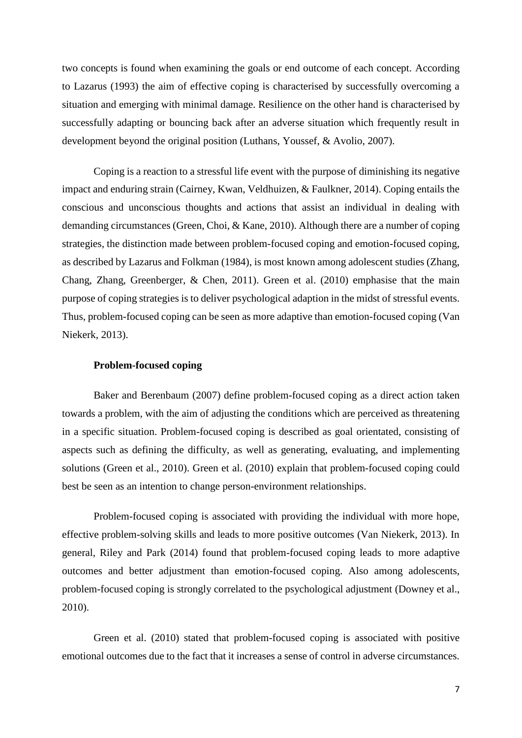two concepts is found when examining the goals or end outcome of each concept. According to Lazarus (1993) the aim of effective coping is characterised by successfully overcoming a situation and emerging with minimal damage. Resilience on the other hand is characterised by successfully adapting or bouncing back after an adverse situation which frequently result in development beyond the original position (Luthans, Youssef, & Avolio, 2007).

Coping is a reaction to a stressful life event with the purpose of diminishing its negative impact and enduring strain (Cairney, Kwan, Veldhuizen, & Faulkner, 2014). Coping entails the conscious and unconscious thoughts and actions that assist an individual in dealing with demanding circumstances (Green, Choi, & Kane, 2010). Although there are a number of coping strategies, the distinction made between problem-focused coping and emotion-focused coping, as described by Lazarus and Folkman (1984), is most known among adolescent studies (Zhang, Chang, Zhang, Greenberger, & Chen, 2011). Green et al. (2010) emphasise that the main purpose of coping strategies is to deliver psychological adaption in the midst of stressful events. Thus, problem-focused coping can be seen as more adaptive than emotion-focused coping (Van Niekerk, 2013).

### **Problem-focused coping**

<span id="page-14-0"></span>Baker and Berenbaum (2007) define problem-focused coping as a direct action taken towards a problem, with the aim of adjusting the conditions which are perceived as threatening in a specific situation. Problem-focused coping is described as goal orientated, consisting of aspects such as defining the difficulty, as well as generating, evaluating, and implementing solutions (Green et al., 2010). Green et al. (2010) explain that problem-focused coping could best be seen as an intention to change person-environment relationships.

Problem-focused coping is associated with providing the individual with more hope, effective problem-solving skills and leads to more positive outcomes (Van Niekerk, 2013). In general, Riley and Park (2014) found that problem-focused coping leads to more adaptive outcomes and better adjustment than emotion-focused coping. Also among adolescents, problem-focused coping is strongly correlated to the psychological adjustment (Downey et al., 2010).

Green et al. (2010) stated that problem-focused coping is associated with positive emotional outcomes due to the fact that it increases a sense of control in adverse circumstances.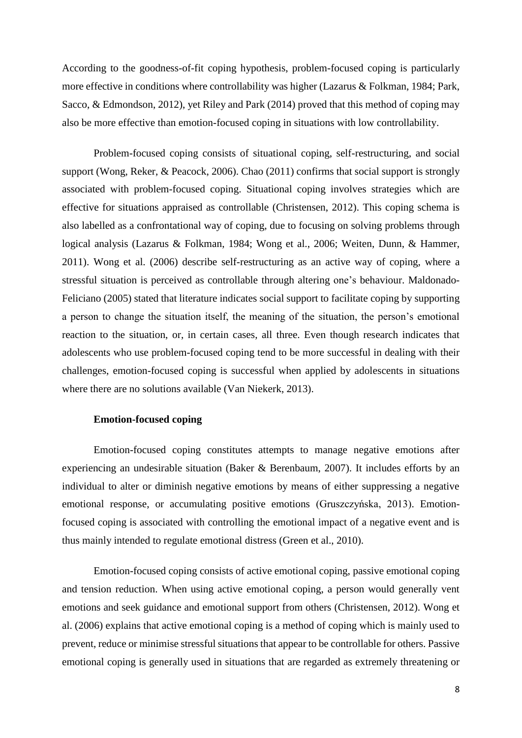According to the goodness-of-fit coping hypothesis, problem-focused coping is particularly more effective in conditions where controllability was higher (Lazarus & Folkman, 1984; Park, Sacco, & Edmondson, 2012), yet Riley and Park (2014) proved that this method of coping may also be more effective than emotion-focused coping in situations with low controllability.

Problem-focused coping consists of situational coping, self-restructuring, and social support (Wong, Reker, & Peacock, 2006). Chao (2011) confirms that social support is strongly associated with problem-focused coping. Situational coping involves strategies which are effective for situations appraised as controllable (Christensen, 2012). This coping schema is also labelled as a confrontational way of coping, due to focusing on solving problems through logical analysis (Lazarus & Folkman, 1984; Wong et al., 2006; Weiten, Dunn, & Hammer, 2011). Wong et al. (2006) describe self-restructuring as an active way of coping, where a stressful situation is perceived as controllable through altering one's behaviour. Maldonado-Feliciano (2005) stated that literature indicates social support to facilitate coping by supporting a person to change the situation itself, the meaning of the situation, the person's emotional reaction to the situation, or, in certain cases, all three. Even though research indicates that adolescents who use problem-focused coping tend to be more successful in dealing with their challenges, emotion-focused coping is successful when applied by adolescents in situations where there are no solutions available (Van Niekerk, 2013).

### **Emotion-focused coping**

<span id="page-15-0"></span>Emotion-focused coping constitutes attempts to manage negative emotions after experiencing an undesirable situation (Baker & Berenbaum, 2007). It includes efforts by an individual to alter or diminish negative emotions by means of either suppressing a negative emotional response, or accumulating positive emotions (Gruszczyńska, 2013). Emotionfocused coping is associated with controlling the emotional impact of a negative event and is thus mainly intended to regulate emotional distress (Green et al., 2010).

Emotion-focused coping consists of active emotional coping, passive emotional coping and tension reduction. When using active emotional coping, a person would generally vent emotions and seek guidance and emotional support from others (Christensen, 2012). Wong et al. (2006) explains that active emotional coping is a method of coping which is mainly used to prevent, reduce or minimise stressful situations that appear to be controllable for others. Passive emotional coping is generally used in situations that are regarded as extremely threatening or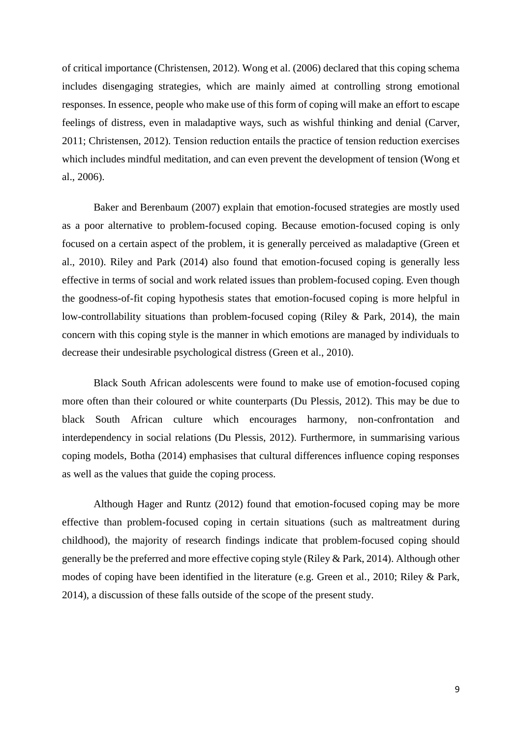of critical importance (Christensen, 2012). Wong et al. (2006) declared that this coping schema includes disengaging strategies, which are mainly aimed at controlling strong emotional responses. In essence, people who make use of this form of coping will make an effort to escape feelings of distress, even in maladaptive ways, such as wishful thinking and denial (Carver, 2011; Christensen, 2012). Tension reduction entails the practice of tension reduction exercises which includes mindful meditation, and can even prevent the development of tension (Wong et al., 2006).

Baker and Berenbaum (2007) explain that emotion-focused strategies are mostly used as a poor alternative to problem-focused coping. Because emotion-focused coping is only focused on a certain aspect of the problem, it is generally perceived as maladaptive (Green et al., 2010). Riley and Park (2014) also found that emotion-focused coping is generally less effective in terms of social and work related issues than problem-focused coping. Even though the goodness-of-fit coping hypothesis states that emotion-focused coping is more helpful in low-controllability situations than problem-focused coping (Riley & Park, 2014), the main concern with this coping style is the manner in which emotions are managed by individuals to decrease their undesirable psychological distress (Green et al., 2010).

Black South African adolescents were found to make use of emotion-focused coping more often than their coloured or white counterparts (Du Plessis, 2012). This may be due to black South African culture which encourages harmony, non-confrontation and interdependency in social relations (Du Plessis, 2012). Furthermore, in summarising various coping models, Botha (2014) emphasises that cultural differences influence coping responses as well as the values that guide the coping process.

Although Hager and Runtz (2012) found that emotion-focused coping may be more effective than problem-focused coping in certain situations (such as maltreatment during childhood), the majority of research findings indicate that problem-focused coping should generally be the preferred and more effective coping style (Riley & Park, 2014). Although other modes of coping have been identified in the literature (e.g. Green et al., 2010; Riley & Park, 2014), a discussion of these falls outside of the scope of the present study.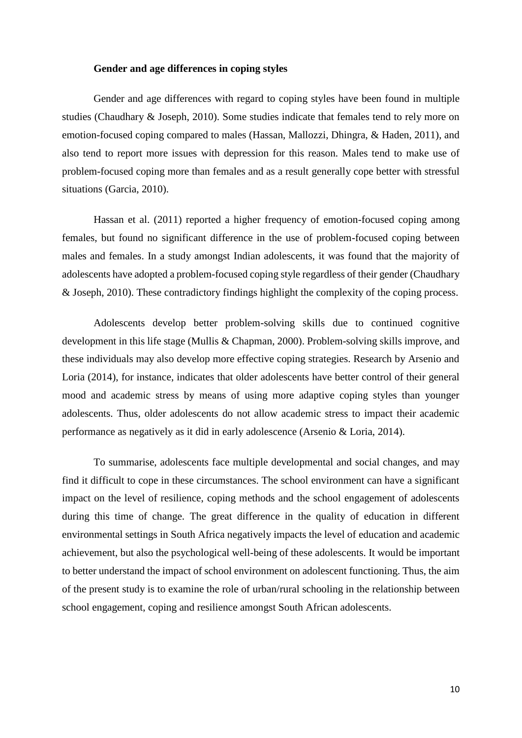#### **Gender and age differences in coping styles**

<span id="page-17-0"></span>Gender and age differences with regard to coping styles have been found in multiple studies (Chaudhary & Joseph, 2010). Some studies indicate that females tend to rely more on emotion-focused coping compared to males (Hassan, Mallozzi, Dhingra, & Haden, 2011), and also tend to report more issues with depression for this reason. Males tend to make use of problem-focused coping more than females and as a result generally cope better with stressful situations (Garcia, 2010).

Hassan et al. (2011) reported a higher frequency of emotion-focused coping among females, but found no significant difference in the use of problem-focused coping between males and females. In a study amongst Indian adolescents, it was found that the majority of adolescents have adopted a problem-focused coping style regardless of their gender (Chaudhary & Joseph, 2010). These contradictory findings highlight the complexity of the coping process.

Adolescents develop better problem-solving skills due to continued cognitive development in this life stage (Mullis & Chapman, 2000). Problem-solving skills improve, and these individuals may also develop more effective coping strategies. Research by Arsenio and Loria (2014), for instance, indicates that older adolescents have better control of their general mood and academic stress by means of using more adaptive coping styles than younger adolescents. Thus, older adolescents do not allow academic stress to impact their academic performance as negatively as it did in early adolescence (Arsenio & Loria, 2014).

To summarise, adolescents face multiple developmental and social changes, and may find it difficult to cope in these circumstances. The school environment can have a significant impact on the level of resilience, coping methods and the school engagement of adolescents during this time of change. The great difference in the quality of education in different environmental settings in South Africa negatively impacts the level of education and academic achievement, but also the psychological well-being of these adolescents. It would be important to better understand the impact of school environment on adolescent functioning. Thus, the aim of the present study is to examine the role of urban/rural schooling in the relationship between school engagement, coping and resilience amongst South African adolescents.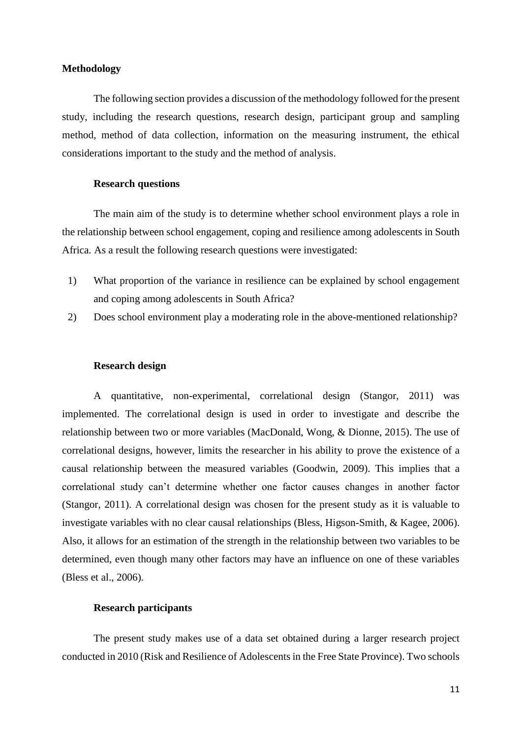### <span id="page-18-0"></span>**Methodology**

The following section provides a discussion of the methodology followed for the present study, including the research questions, research design, participant group and sampling method, method of data collection, information on the measuring instrument, the ethical considerations important to the study and the method of analysis.

#### **Research questions**

<span id="page-18-1"></span>The main aim of the study is to determine whether school environment plays a role in the relationship between school engagement, coping and resilience among adolescents in South Africa. As a result the following research questions were investigated:

- 1) What proportion of the variance in resilience can be explained by school engagement and coping among adolescents in South Africa?
- 2) Does school environment play a moderating role in the above-mentioned relationship?

#### **Research design**

<span id="page-18-2"></span>A quantitative, non-experimental, correlational design (Stangor, 2011) was implemented. The correlational design is used in order to investigate and describe the relationship between two or more variables (MacDonald, Wong, & Dionne, 2015). The use of correlational designs, however, limits the researcher in his ability to prove the existence of a causal relationship between the measured variables (Goodwin, 2009). This implies that a correlational study can't determine whether one factor causes changes in another factor (Stangor, 2011). A correlational design was chosen for the present study as it is valuable to investigate variables with no clear causal relationships (Bless, Higson-Smith, & Kagee, 2006). Also, it allows for an estimation of the strength in the relationship between two variables to be determined, even though many other factors may have an influence on one of these variables (Bless et al., 2006).

#### **Research participants**

<span id="page-18-3"></span>The present study makes use of a data set obtained during a larger research project conducted in 2010 (Risk and Resilience of Adolescents in the Free State Province). Two schools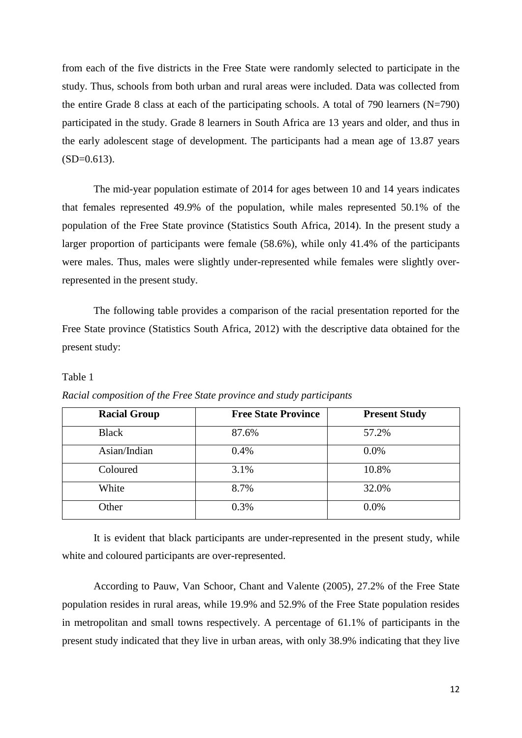from each of the five districts in the Free State were randomly selected to participate in the study. Thus, schools from both urban and rural areas were included. Data was collected from the entire Grade 8 class at each of the participating schools. A total of 790 learners  $(N=790)$ participated in the study. Grade 8 learners in South Africa are 13 years and older, and thus in the early adolescent stage of development. The participants had a mean age of 13.87 years  $(SD=0.613)$ .

The mid-year population estimate of 2014 for ages between 10 and 14 years indicates that females represented 49.9% of the population, while males represented 50.1% of the population of the Free State province (Statistics South Africa, 2014). In the present study a larger proportion of participants were female (58.6%), while only 41.4% of the participants were males. Thus, males were slightly under-represented while females were slightly overrepresented in the present study.

The following table provides a comparison of the racial presentation reported for the Free State province (Statistics South Africa, 2012) with the descriptive data obtained for the present study:

#### Table 1

| <b>Racial Group</b> | <b>Free State Province</b> | <b>Present Study</b> |
|---------------------|----------------------------|----------------------|
| <b>Black</b>        | 87.6%                      | 57.2%                |
| Asian/Indian        | 0.4%                       | 0.0%                 |
| Coloured            | 3.1%                       | 10.8%                |
| White               | 8.7%                       | 32.0%                |
| Other               | 0.3%                       | 0.0%                 |

*Racial composition of the Free State province and study participants*

It is evident that black participants are under-represented in the present study, while white and coloured participants are over-represented.

According to Pauw, Van Schoor, Chant and Valente (2005), 27.2% of the Free State population resides in rural areas, while 19.9% and 52.9% of the Free State population resides in metropolitan and small towns respectively. A percentage of 61.1% of participants in the present study indicated that they live in urban areas, with only 38.9% indicating that they live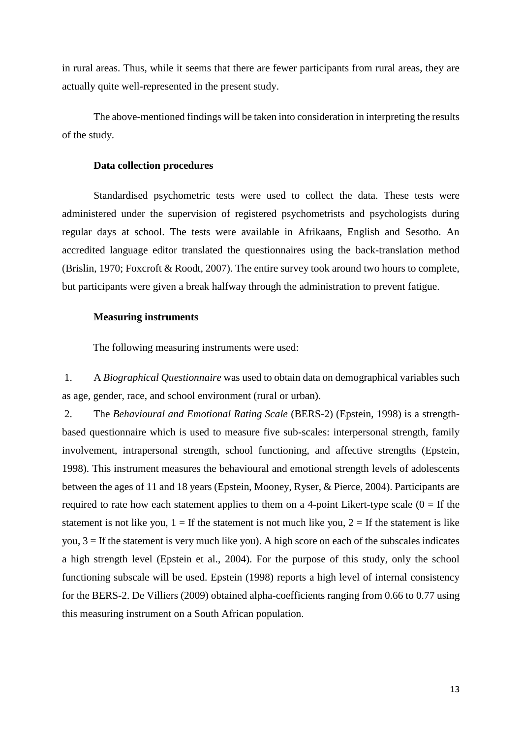in rural areas. Thus, while it seems that there are fewer participants from rural areas, they are actually quite well-represented in the present study.

The above-mentioned findings will be taken into consideration in interpreting the results of the study.

#### **Data collection procedures**

<span id="page-20-0"></span>Standardised psychometric tests were used to collect the data. These tests were administered under the supervision of registered psychometrists and psychologists during regular days at school. The tests were available in Afrikaans, English and Sesotho. An accredited language editor translated the questionnaires using the back-translation method (Brislin, 1970; Foxcroft & Roodt, 2007). The entire survey took around two hours to complete, but participants were given a break halfway through the administration to prevent fatigue.

#### <span id="page-20-1"></span>**Measuring instruments**

The following measuring instruments were used:

1. A *Biographical Questionnaire* was used to obtain data on demographical variables such as age, gender, race, and school environment (rural or urban).

2. The *Behavioural and Emotional Rating Scale* (BERS-2) (Epstein, 1998) is a strengthbased questionnaire which is used to measure five sub-scales: interpersonal strength, family involvement, intrapersonal strength, school functioning, and affective strengths (Epstein, 1998). This instrument measures the behavioural and emotional strength levels of adolescents between the ages of 11 and 18 years (Epstein, Mooney, Ryser, & Pierce, 2004). Participants are required to rate how each statement applies to them on a 4-point Likert-type scale  $(0 = If the)$ statement is not like you,  $1 =$  If the statement is not much like you,  $2 =$  If the statement is like you,  $3 =$  If the statement is very much like you). A high score on each of the subscales indicates a high strength level (Epstein et al., 2004). For the purpose of this study, only the school functioning subscale will be used. Epstein (1998) reports a high level of internal consistency for the BERS-2. De Villiers (2009) obtained alpha-coefficients ranging from 0.66 to 0.77 using this measuring instrument on a South African population.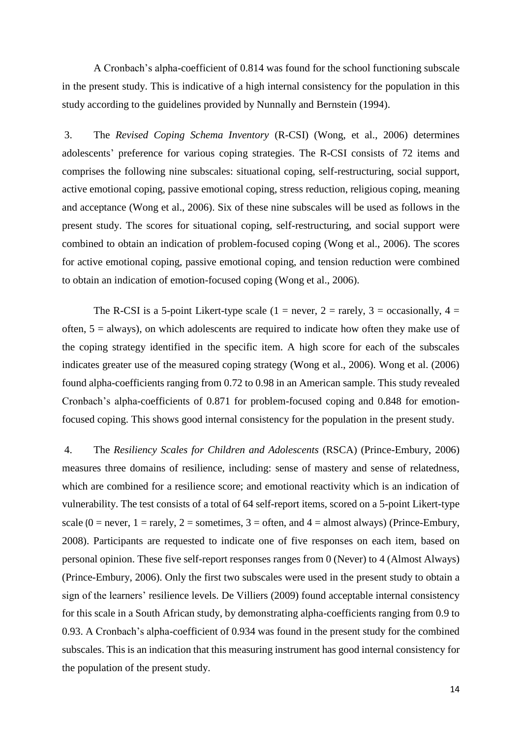A Cronbach's alpha-coefficient of 0.814 was found for the school functioning subscale in the present study. This is indicative of a high internal consistency for the population in this study according to the guidelines provided by Nunnally and Bernstein (1994).

3. The *Revised Coping Schema Inventory* (R-CSI) (Wong, et al., 2006) determines adolescents' preference for various coping strategies. The R-CSI consists of 72 items and comprises the following nine subscales: situational coping, self-restructuring, social support, active emotional coping, passive emotional coping, stress reduction, religious coping, meaning and acceptance (Wong et al., 2006). Six of these nine subscales will be used as follows in the present study. The scores for situational coping, self-restructuring, and social support were combined to obtain an indication of problem-focused coping (Wong et al., 2006). The scores for active emotional coping, passive emotional coping, and tension reduction were combined to obtain an indication of emotion-focused coping (Wong et al., 2006).

The R-CSI is a 5-point Likert-type scale (1 = never, 2 = rarely, 3 = occasionally, 4 = often, 5 = always), on which adolescents are required to indicate how often they make use of the coping strategy identified in the specific item. A high score for each of the subscales indicates greater use of the measured coping strategy (Wong et al., 2006). Wong et al. (2006) found alpha-coefficients ranging from 0.72 to 0.98 in an American sample. This study revealed Cronbach's alpha-coefficients of 0.871 for problem-focused coping and 0.848 for emotionfocused coping. This shows good internal consistency for the population in the present study.

4. The *Resiliency Scales for Children and Adolescents* (RSCA) (Prince-Embury, 2006) measures three domains of resilience, including: sense of mastery and sense of relatedness, which are combined for a resilience score; and emotional reactivity which is an indication of vulnerability. The test consists of a total of 64 self-report items, scored on a 5-point Likert-type scale (0 = never, 1 = rarely, 2 = sometimes, 3 = often, and 4 = almost always) (Prince-Embury, 2008). Participants are requested to indicate one of five responses on each item, based on personal opinion. These five self-report responses ranges from 0 (Never) to 4 (Almost Always) (Prince-Embury, 2006). Only the first two subscales were used in the present study to obtain a sign of the learners' resilience levels. De Villiers (2009) found acceptable internal consistency for this scale in a South African study, by demonstrating alpha-coefficients ranging from 0.9 to 0.93. A Cronbach's alpha-coefficient of 0.934 was found in the present study for the combined subscales. This is an indication that this measuring instrument has good internal consistency for the population of the present study.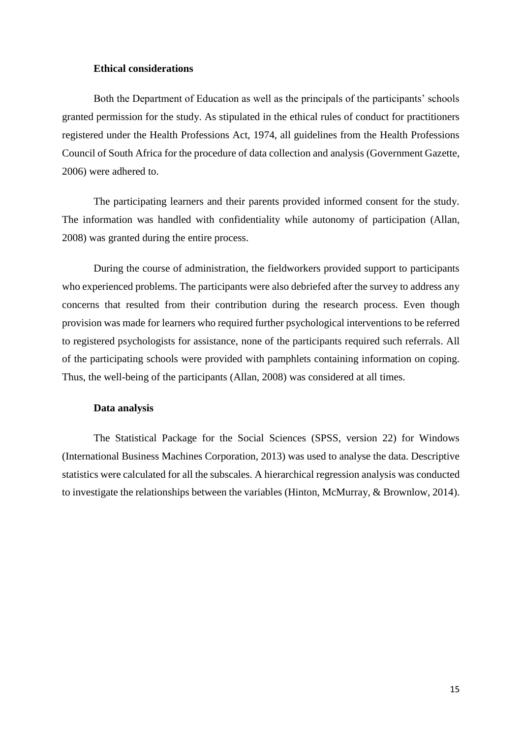#### **Ethical considerations**

<span id="page-22-0"></span>Both the Department of Education as well as the principals of the participants' schools granted permission for the study. As stipulated in the ethical rules of conduct for practitioners registered under the Health Professions Act, 1974, all guidelines from the Health Professions Council of South Africa for the procedure of data collection and analysis (Government Gazette, 2006) were adhered to.

The participating learners and their parents provided informed consent for the study. The information was handled with confidentiality while autonomy of participation (Allan, 2008) was granted during the entire process.

During the course of administration, the fieldworkers provided support to participants who experienced problems. The participants were also debriefed after the survey to address any concerns that resulted from their contribution during the research process. Even though provision was made for learners who required further psychological interventions to be referred to registered psychologists for assistance, none of the participants required such referrals. All of the participating schools were provided with pamphlets containing information on coping. Thus, the well-being of the participants (Allan, 2008) was considered at all times.

#### **Data analysis**

<span id="page-22-1"></span>The Statistical Package for the Social Sciences (SPSS, version 22) for Windows (International Business Machines Corporation, 2013) was used to analyse the data. Descriptive statistics were calculated for all the subscales. A hierarchical regression analysis was conducted to investigate the relationships between the variables (Hinton, McMurray, & Brownlow, 2014).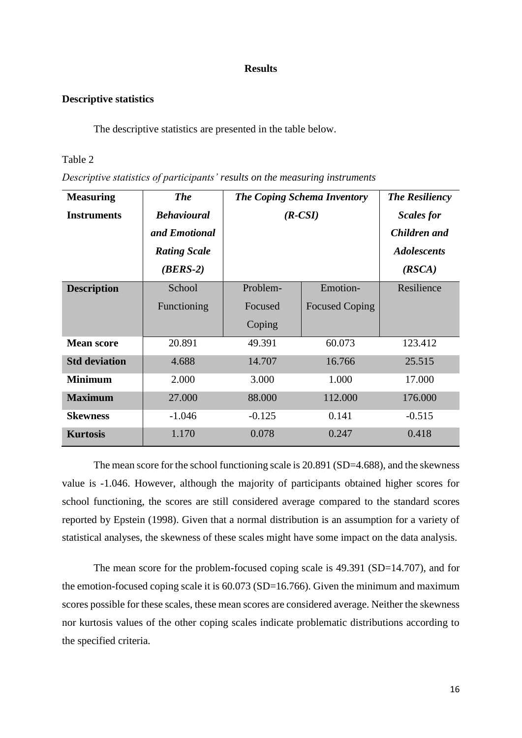#### **Results**

#### <span id="page-23-1"></span><span id="page-23-0"></span>**Descriptive statistics**

The descriptive statistics are presented in the table below.

Table 2

*Descriptive statistics of participants' results on the measuring instruments*

| <b>Measuring</b>     | <b>The</b>          |          | <b>The Coping Schema Inventory</b> | <b>The Resiliency</b> |
|----------------------|---------------------|----------|------------------------------------|-----------------------|
| <b>Instruments</b>   | <b>Behavioural</b>  |          | $(R\text{-}CSI)$                   | <b>Scales for</b>     |
|                      | and Emotional       |          |                                    | <b>Children</b> and   |
|                      | <b>Rating Scale</b> |          |                                    | <b>Adolescents</b>    |
|                      | $(BERS-2)$          |          |                                    | (RSCA)                |
| <b>Description</b>   | School              | Problem- | Emotion-                           | Resilience            |
|                      | Functioning         | Focused  | <b>Focused Coping</b>              |                       |
|                      |                     | Coping   |                                    |                       |
| <b>Mean score</b>    | 20.891              | 49.391   | 60.073                             | 123.412               |
| <b>Std deviation</b> | 4.688               | 14.707   | 16.766                             | 25.515                |
| <b>Minimum</b>       | 2.000               | 3.000    | 1.000                              | 17.000                |
| <b>Maximum</b>       | 27.000              | 88.000   | 112.000                            | 176.000               |
| <b>Skewness</b>      | $-1.046$            | $-0.125$ | 0.141                              | $-0.515$              |
| <b>Kurtosis</b>      | 1.170               | 0.078    | 0.247                              | 0.418                 |

The mean score for the school functioning scale is 20.891 (SD=4.688), and the skewness value is -1.046. However, although the majority of participants obtained higher scores for school functioning, the scores are still considered average compared to the standard scores reported by Epstein (1998). Given that a normal distribution is an assumption for a variety of statistical analyses, the skewness of these scales might have some impact on the data analysis.

The mean score for the problem-focused coping scale is 49.391 (SD=14.707), and for the emotion-focused coping scale it is 60.073 (SD=16.766). Given the minimum and maximum scores possible for these scales, these mean scores are considered average. Neither the skewness nor kurtosis values of the other coping scales indicate problematic distributions according to the specified criteria.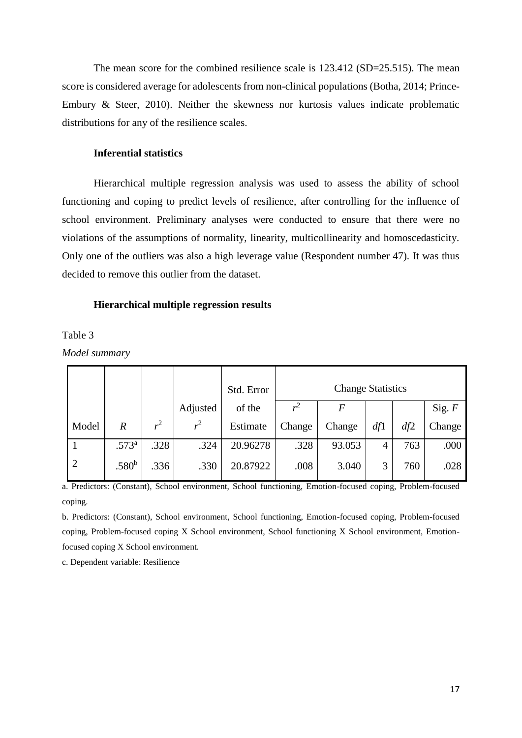The mean score for the combined resilience scale is  $123.412$  (SD=25.515). The mean score is considered average for adolescents from non-clinical populations (Botha, 2014; Prince-Embury & Steer, 2010). Neither the skewness nor kurtosis values indicate problematic distributions for any of the resilience scales.

## **Inferential statistics**

<span id="page-24-0"></span>Hierarchical multiple regression analysis was used to assess the ability of school functioning and coping to predict levels of resilience, after controlling for the influence of school environment. Preliminary analyses were conducted to ensure that there were no violations of the assumptions of normality, linearity, multicollinearity and homoscedasticity. Only one of the outliers was also a high leverage value (Respondent number 47). It was thus decided to remove this outlier from the dataset.

### **Hierarchical multiple regression results**

<span id="page-24-1"></span>Table 3

*Model summary*

|       |                   |       |                | Std. Error | <b>Change Statistics</b> |        |     |     |          |
|-------|-------------------|-------|----------------|------------|--------------------------|--------|-----|-----|----------|
|       |                   |       | Adjusted       | of the     |                          | F      |     |     | Sig. $F$ |
| Model | $\boldsymbol{R}$  | $r^2$ | r <sup>2</sup> | Estimate   | Change                   | Change | df1 | df2 | Change   |
|       | .573 <sup>a</sup> | .328  | .324           | 20.96278   | .328                     | 93.053 | 4   | 763 | .000     |
| ∍     | .580 <sup>b</sup> | .336  | .330           | 20.87922   | .008                     | 3.040  | 3   | 760 | .028     |

a. Predictors: (Constant), School environment, School functioning, Emotion-focused coping, Problem-focused coping.

b. Predictors: (Constant), School environment, School functioning, Emotion-focused coping, Problem-focused coping, Problem-focused coping X School environment, School functioning X School environment, Emotionfocused coping X School environment.

c. Dependent variable: Resilience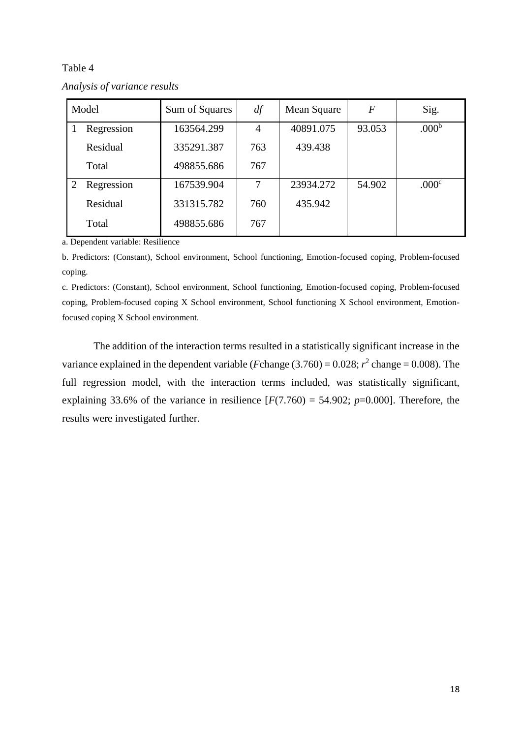| Model |            | Sum of Squares | df  | Mean Square | $\boldsymbol{F}$ | Sig.              |
|-------|------------|----------------|-----|-------------|------------------|-------------------|
|       | Regression | 163564.299     | 4   | 40891.075   | 93.053           | .000 <sup>b</sup> |
|       | Residual   | 335291.387     | 763 | 439.438     |                  |                   |
|       | Total      | 498855.686     | 767 |             |                  |                   |
|       | Regression | 167539.904     | 7   | 23934.272   | 54.902           | .000 <sup>c</sup> |
|       | Residual   | 331315.782     | 760 | 435.942     |                  |                   |
|       | Total      | 498855.686     | 767 |             |                  |                   |

Table 4 *Analysis of variance results*

a. Dependent variable: Resilience

b. Predictors: (Constant), School environment, School functioning, Emotion-focused coping, Problem-focused coping.

c. Predictors: (Constant), School environment, School functioning, Emotion-focused coping, Problem-focused coping, Problem-focused coping X School environment, School functioning X School environment, Emotionfocused coping X School environment.

The addition of the interaction terms resulted in a statistically significant increase in the variance explained in the dependent variable (*F*change (3.760) = 0.028;  $r^2$  change = 0.008). The full regression model, with the interaction terms included, was statistically significant, explaining 33.6% of the variance in resilience  $[F(7.760) = 54.902; p=0.000]$ . Therefore, the results were investigated further.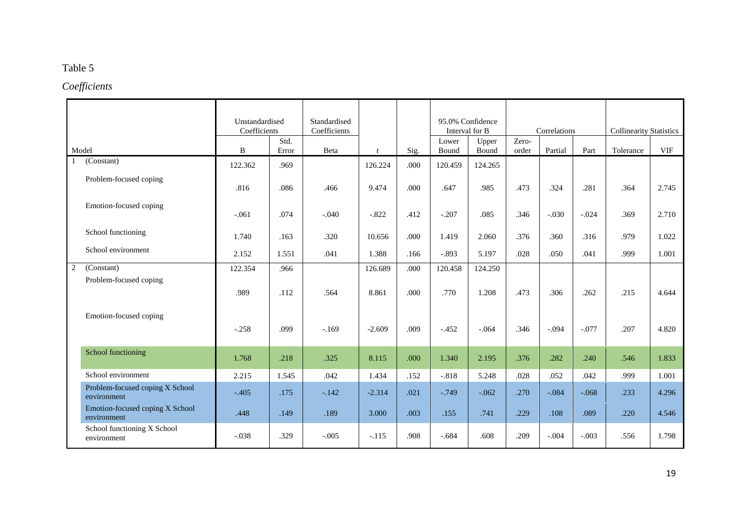# *Coefficients*

|                                                | Unstandardised |       | Standardised |                  |      |         | 95.0% Confidence        |       |              |         |                                |            |
|------------------------------------------------|----------------|-------|--------------|------------------|------|---------|-------------------------|-------|--------------|---------|--------------------------------|------------|
|                                                | Coefficients   | Std.  | Coefficients |                  |      | Lower   | Interval for B<br>Upper | Zero- | Correlations |         | <b>Collinearity Statistics</b> |            |
| Model                                          | $\, {\bf B}$   | Error | Beta         | $\boldsymbol{t}$ | Sig. | Bound   | Bound                   | order | Partial      | Part    | Tolerance                      | <b>VIF</b> |
| (Constant)                                     | 122.362        | .969  |              | 126.224          | .000 | 120.459 | 124.265                 |       |              |         |                                |            |
| Problem-focused coping                         | .816           | .086  | .466         | 9.474            | .000 | .647    | .985                    | .473  | .324         | .281    | .364                           | 2.745      |
| Emotion-focused coping                         | $-.061$        | .074  | $-.040$      | $-.822$          | .412 | $-.207$ | .085                    | .346  | $-.030$      | $-.024$ | .369                           | 2.710      |
| School functioning                             | 1.740          | .163  | .320         | 10.656           | .000 | 1.419   | 2.060                   | .376  | .360         | .316    | .979                           | 1.022      |
| School environment                             | 2.152          | 1.551 | .041         | 1.388            | .166 | $-.893$ | 5.197                   | .028  | .050         | .041    | .999                           | 1.001      |
| 2<br>(Constant)                                | 122.354        | .966  |              | 126.689          | .000 | 120.458 | 124.250                 |       |              |         |                                |            |
| Problem-focused coping                         | .989           | .112  | .564         | 8.861            | .000 | .770    | 1.208                   | .473  | .306         | .262    | .215                           | 4.644      |
| Emotion-focused coping                         | $-.258$        | .099  | $-.169$      | $-2.609$         | .009 | $-.452$ | $-.064$                 | .346  | $-.094$      | $-.077$ | .207                           | 4.820      |
| School functioning                             | 1.768          | .218  | .325         | 8.115            | .000 | 1.340   | 2.195                   | .376  | .282         | .240    | .546                           | 1.833      |
| School environment                             | 2.215          | 1.545 | .042         | 1.434            | .152 | $-.818$ | 5.248                   | .028  | .052         | .042    | .999                           | 1.001      |
| Problem-focused coping X School<br>environment | $-.405$        | .175  | $-142$       | $-2.314$         | .021 | $-.749$ | $-.062$                 | .270  | $-.084$      | $-.068$ | .233                           | 4.296      |
| Emotion-focused coping X School<br>environment | .448           | .149  | .189         | 3.000            | .003 | .155    | .741                    | .229  | .108         | .089    | .220                           | 4.546      |
| School functioning X School<br>environment     | $-.038$        | .329  | $-.005$      | $-.115$          | .908 | $-.684$ | .608                    | .209  | $-.004$      | $-.003$ | .556                           | 1.798      |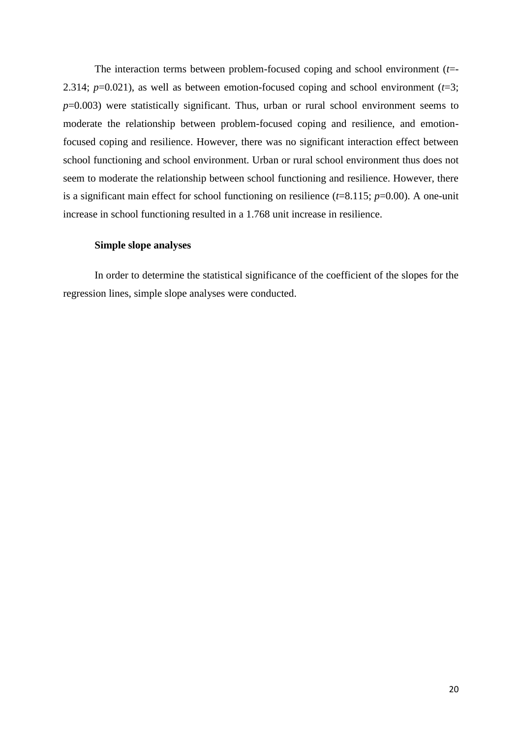The interaction terms between problem-focused coping and school environment (*t*=- 2.314;  $p=0.021$ ), as well as between emotion-focused coping and school environment ( $t=3$ ; *p*=0.003) were statistically significant. Thus, urban or rural school environment seems to moderate the relationship between problem-focused coping and resilience, and emotionfocused coping and resilience. However, there was no significant interaction effect between school functioning and school environment. Urban or rural school environment thus does not seem to moderate the relationship between school functioning and resilience. However, there is a significant main effect for school functioning on resilience  $(t=8.115; p=0.00)$ . A one-unit increase in school functioning resulted in a 1.768 unit increase in resilience.

## **Simple slope analyses**

<span id="page-27-0"></span>In order to determine the statistical significance of the coefficient of the slopes for the regression lines, simple slope analyses were conducted.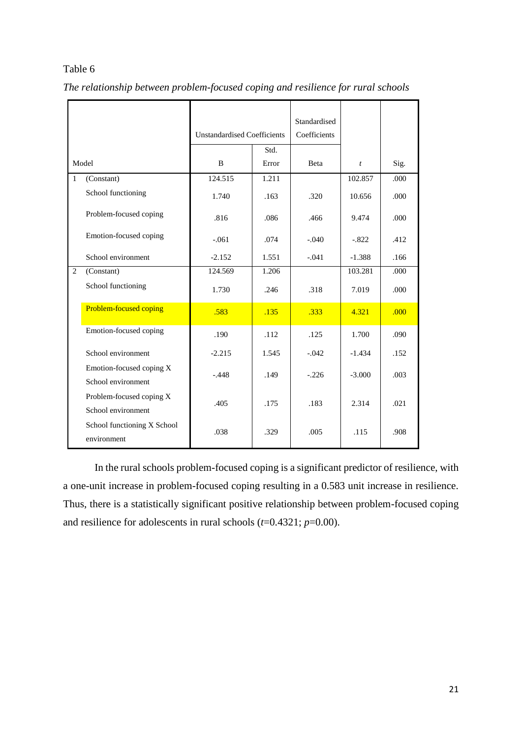|              |                                                | <b>Unstandardised Coefficients</b> |       | Standardised<br>Coefficients |                  |      |
|--------------|------------------------------------------------|------------------------------------|-------|------------------------------|------------------|------|
|              |                                                | B                                  | Std.  |                              |                  |      |
|              | Model                                          |                                    | Error | Beta                         | $\boldsymbol{t}$ | Sig. |
| $\mathbf{1}$ | (Constant)                                     | 124.515                            | 1.211 |                              | 102.857          | .000 |
|              | School functioning                             | 1.740                              | .163  | .320                         | 10.656           | .000 |
|              | Problem-focused coping                         | .816                               | .086  | .466                         | 9.474            | .000 |
|              | Emotion-focused coping                         | $-.061$                            | .074  | $-.040$                      | $-.822$          | .412 |
|              | School environment                             | $-2.152$                           | 1.551 | $-.041$                      | $-1.388$         | .166 |
| 2            | (Constant)                                     | 124.569                            | 1.206 |                              | 103.281          | .000 |
|              | School functioning                             | 1.730                              | .246  | .318                         | 7.019            | .000 |
|              | Problem-focused coping                         | .583                               | .135  | .333                         | 4.321            | .000 |
|              | Emotion-focused coping                         | .190                               | .112  | .125                         | 1.700            | .090 |
|              | School environment                             | $-2.215$                           | 1.545 | $-.042$                      | $-1.434$         | .152 |
|              | Emotion-focused coping X<br>School environment | $-.448$                            | .149  | $-.226$                      | $-3.000$         | .003 |
|              | Problem-focused coping X<br>School environment | .405                               | .175  | .183                         | 2.314            | .021 |
|              | School functioning X School<br>environment     | .038                               | .329  | .005                         | .115             | .908 |

*The relationship between problem-focused coping and resilience for rural schools*

In the rural schools problem-focused coping is a significant predictor of resilience, with a one-unit increase in problem-focused coping resulting in a 0.583 unit increase in resilience. Thus, there is a statistically significant positive relationship between problem-focused coping and resilience for adolescents in rural schools (*t*=0.4321; *p*=0.00).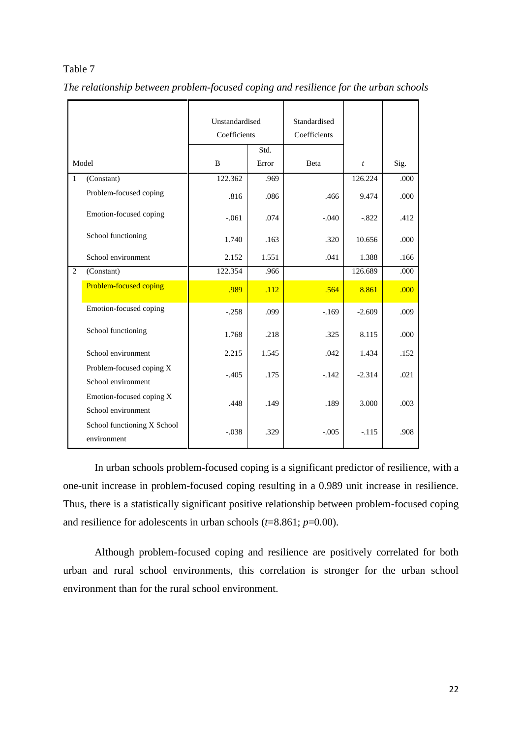|              |                                                | Unstandardised<br>Coefficients |               | Standardised<br>Coefficients |                |      |
|--------------|------------------------------------------------|--------------------------------|---------------|------------------------------|----------------|------|
|              | Model                                          | B                              | Std.<br>Error | Beta                         | $\mathfrak{t}$ | Sig. |
| $\mathbf{1}$ | (Constant)                                     | 122.362                        | .969          |                              | 126.224        | .000 |
|              | Problem-focused coping                         | .816                           | .086          | .466                         | 9.474          | .000 |
|              | Emotion-focused coping                         | $-.061$                        | .074          | $-.040$                      | $-.822$        | .412 |
|              | School functioning                             | 1.740                          | .163          | .320                         | 10.656         | .000 |
|              | School environment                             | 2.152                          | 1.551         | .041                         | 1.388          | .166 |
| 2            | (Constant)                                     | 122.354                        | .966          |                              | 126.689        | .000 |
|              | Problem-focused coping                         | .989                           | .112          | .564                         | 8.861          | .000 |
|              | Emotion-focused coping                         | $-.258$                        | .099          | $-169$                       | $-2.609$       | .009 |
|              | School functioning                             | 1.768                          | .218          | .325                         | 8.115          | .000 |
|              | School environment                             | 2.215                          | 1.545         | .042                         | 1.434          | .152 |
|              | Problem-focused coping X<br>School environment | $-.405$                        | .175          | $-142$                       | $-2.314$       | .021 |
|              | Emotion-focused coping X<br>School environment | .448                           | .149          | .189                         | 3.000          | .003 |
|              | School functioning X School<br>environment     | $-.038$                        | .329          | $-.005$                      | $-.115$        | .908 |

*The relationship between problem-focused coping and resilience for the urban schools*

In urban schools problem-focused coping is a significant predictor of resilience, with a one-unit increase in problem-focused coping resulting in a 0.989 unit increase in resilience. Thus, there is a statistically significant positive relationship between problem-focused coping and resilience for adolescents in urban schools (*t*=8.861; *p*=0.00).

Although problem-focused coping and resilience are positively correlated for both urban and rural school environments, this correlation is stronger for the urban school environment than for the rural school environment.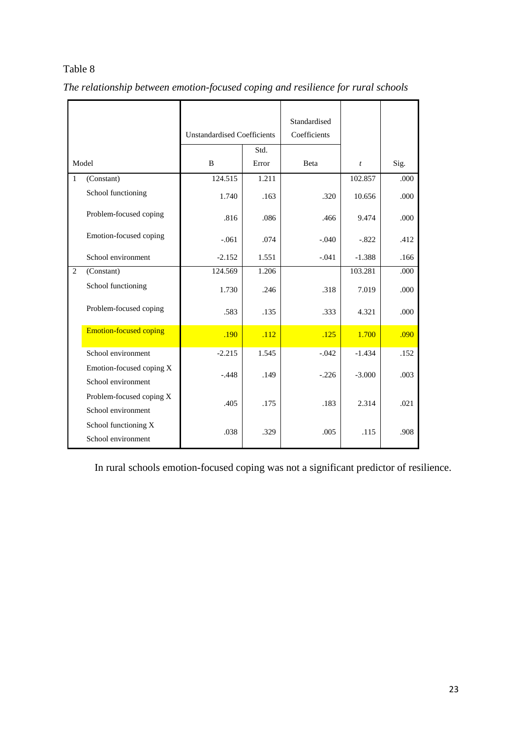|              |                                                | <b>Unstandardised Coefficients</b> |       | Standardised<br>Coefficients |                  |      |
|--------------|------------------------------------------------|------------------------------------|-------|------------------------------|------------------|------|
|              |                                                |                                    | Std.  |                              |                  |      |
|              | Model                                          | B                                  | Error | Beta                         | $\boldsymbol{t}$ | Sig. |
| $\mathbf{1}$ | (Constant)                                     | 124.515                            | 1.211 |                              | 102.857          | .000 |
|              | School functioning                             | 1.740                              | .163  | .320                         | 10.656           | .000 |
|              | Problem-focused coping                         | .816                               | .086  | .466                         | 9.474            | .000 |
|              | Emotion-focused coping                         | $-.061$                            | .074  | $-.040$                      | $-.822$          | .412 |
|              | School environment                             | $-2.152$                           | 1.551 | $-.041$                      | $-1.388$         | .166 |
| 2            | $\overline{(Constant)}$                        | 124.569                            | 1.206 |                              | 103.281          | .000 |
|              | School functioning                             | 1.730                              | .246  | .318                         | 7.019            | .000 |
|              | Problem-focused coping                         | .583                               | .135  | .333                         | 4.321            | .000 |
|              | <b>Emotion-focused coping</b>                  | .190                               | .112  | .125                         | 1.700            | .090 |
|              | School environment                             | $-2.215$                           | 1.545 | $-.042$                      | $-1.434$         | .152 |
|              | Emotion-focused coping X<br>School environment | $-.448$                            | .149  | $-.226$                      | $-3.000$         | .003 |
|              | Problem-focused coping X<br>School environment | .405                               | .175  | .183                         | 2.314            | .021 |
|              | School functioning X<br>School environment     | .038                               | .329  | .005                         | .115             | .908 |

*The relationship between emotion-focused coping and resilience for rural schools*

In rural schools emotion-focused coping was not a significant predictor of resilience.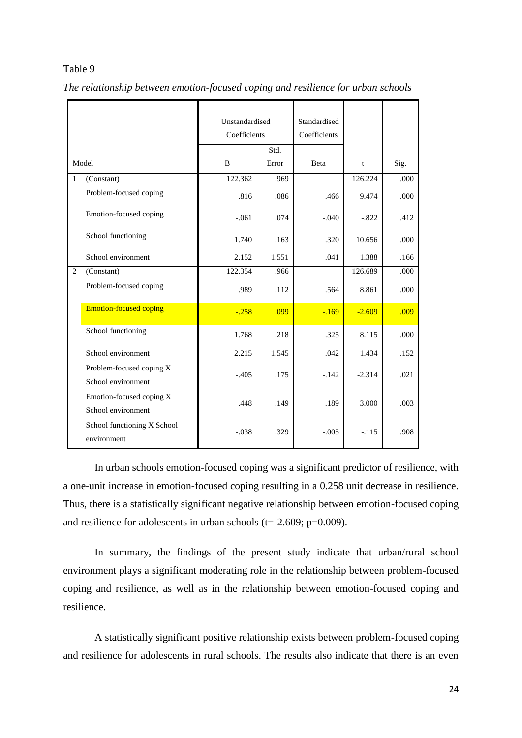|                |                                                | Unstandardised<br>Coefficients<br>Std. |       | Standardised<br>Coefficients |          |      |
|----------------|------------------------------------------------|----------------------------------------|-------|------------------------------|----------|------|
|                | Model                                          | B                                      | Error | Beta                         | t        | Sig. |
| $\mathbf{1}$   | (Constant)                                     | 122.362                                | .969  |                              | 126.224  | .000 |
|                | Problem-focused coping                         | .816                                   | .086  | .466                         | 9.474    | .000 |
|                | Emotion-focused coping                         | $-.061$                                | .074  | $-.040$                      | $-.822$  | .412 |
|                | School functioning                             | 1.740                                  | .163  | .320                         | 10.656   | .000 |
|                | School environment                             | 2.152                                  | 1.551 | .041                         | 1.388    | .166 |
| $\overline{2}$ | (Constant)                                     | 122.354                                | .966  |                              | 126.689  | .000 |
|                | Problem-focused coping                         | .989                                   | .112  | .564                         | 8.861    | .000 |
|                | <b>Emotion-focused coping</b>                  | $-0.258$                               | .099  | $-169$                       | $-2.609$ | .009 |
|                | School functioning                             | 1.768                                  | .218  | .325                         | 8.115    | .000 |
|                | School environment                             | 2.215                                  | 1.545 | .042                         | 1.434    | .152 |
|                | Problem-focused coping X<br>School environment | $-.405$                                | .175  | $-142$                       | $-2.314$ | .021 |
|                | Emotion-focused coping X<br>School environment | .448                                   | .149  | .189                         | 3.000    | .003 |
|                | School functioning X School<br>environment     | $-.038$                                | .329  | $-.005$                      | $-.115$  | .908 |

*The relationship between emotion-focused coping and resilience for urban schools*

In urban schools emotion-focused coping was a significant predictor of resilience, with a one-unit increase in emotion-focused coping resulting in a 0.258 unit decrease in resilience. Thus, there is a statistically significant negative relationship between emotion-focused coping and resilience for adolescents in urban schools (t=-2.609; p=0.009).

In summary, the findings of the present study indicate that urban/rural school environment plays a significant moderating role in the relationship between problem-focused coping and resilience, as well as in the relationship between emotion-focused coping and resilience.

A statistically significant positive relationship exists between problem-focused coping and resilience for adolescents in rural schools. The results also indicate that there is an even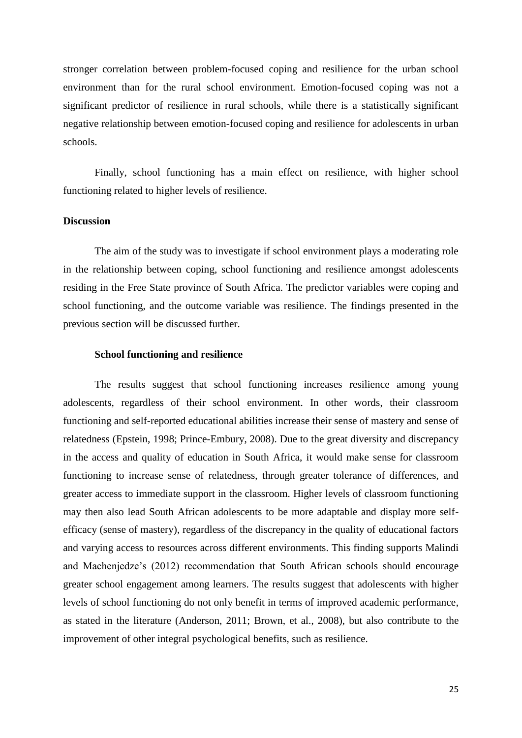stronger correlation between problem-focused coping and resilience for the urban school environment than for the rural school environment. Emotion-focused coping was not a significant predictor of resilience in rural schools, while there is a statistically significant negative relationship between emotion-focused coping and resilience for adolescents in urban schools.

Finally, school functioning has a main effect on resilience, with higher school functioning related to higher levels of resilience.

#### <span id="page-32-0"></span>**Discussion**

The aim of the study was to investigate if school environment plays a moderating role in the relationship between coping, school functioning and resilience amongst adolescents residing in the Free State province of South Africa. The predictor variables were coping and school functioning, and the outcome variable was resilience. The findings presented in the previous section will be discussed further.

#### **School functioning and resilience**

<span id="page-32-1"></span>The results suggest that school functioning increases resilience among young adolescents, regardless of their school environment. In other words, their classroom functioning and self-reported educational abilities increase their sense of mastery and sense of relatedness (Epstein, 1998; Prince-Embury, 2008). Due to the great diversity and discrepancy in the access and quality of education in South Africa, it would make sense for classroom functioning to increase sense of relatedness, through greater tolerance of differences, and greater access to immediate support in the classroom. Higher levels of classroom functioning may then also lead South African adolescents to be more adaptable and display more selfefficacy (sense of mastery), regardless of the discrepancy in the quality of educational factors and varying access to resources across different environments. This finding supports Malindi and Machenjedze's (2012) recommendation that South African schools should encourage greater school engagement among learners. The results suggest that adolescents with higher levels of school functioning do not only benefit in terms of improved academic performance, as stated in the literature (Anderson, 2011; Brown, et al., 2008), but also contribute to the improvement of other integral psychological benefits, such as resilience.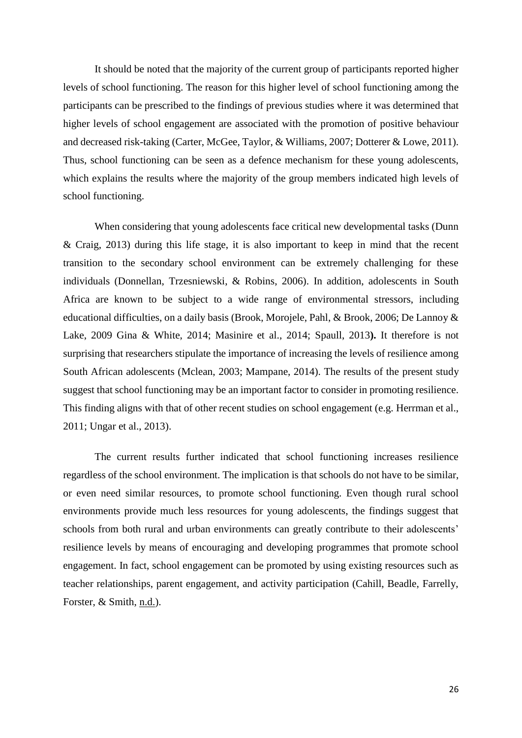It should be noted that the majority of the current group of participants reported higher levels of school functioning. The reason for this higher level of school functioning among the participants can be prescribed to the findings of previous studies where it was determined that higher levels of school engagement are associated with the promotion of positive behaviour and decreased risk-taking (Carter, McGee, Taylor, & Williams, 2007; Dotterer & Lowe, 2011). Thus, school functioning can be seen as a defence mechanism for these young adolescents, which explains the results where the majority of the group members indicated high levels of school functioning.

When considering that young adolescents face critical new developmental tasks (Dunn & Craig, 2013) during this life stage, it is also important to keep in mind that the recent transition to the secondary school environment can be extremely challenging for these individuals (Donnellan, Trzesniewski, & Robins, 2006). In addition, adolescents in South Africa are known to be subject to a wide range of environmental stressors, including educational difficulties, on a daily basis (Brook, Morojele, Pahl, & Brook, 2006; De Lannoy & Lake, 2009 Gina & White, 2014; Masinire et al., 2014; Spaull, 2013**).** It therefore is not surprising that researchers stipulate the importance of increasing the levels of resilience among South African adolescents (Mclean, 2003; Mampane, 2014). The results of the present study suggest that school functioning may be an important factor to consider in promoting resilience. This finding aligns with that of other recent studies on school engagement (e.g. Herrman et al., 2011; Ungar et al., 2013).

The current results further indicated that school functioning increases resilience regardless of the school environment. The implication is that schools do not have to be similar, or even need similar resources, to promote school functioning. Even though rural school environments provide much less resources for young adolescents, the findings suggest that schools from both rural and urban environments can greatly contribute to their adolescents' resilience levels by means of encouraging and developing programmes that promote school engagement. In fact, school engagement can be promoted by using existing resources such as teacher relationships, parent engagement, and activity participation (Cahill, Beadle, Farrelly, Forster, & Smith, n.d.).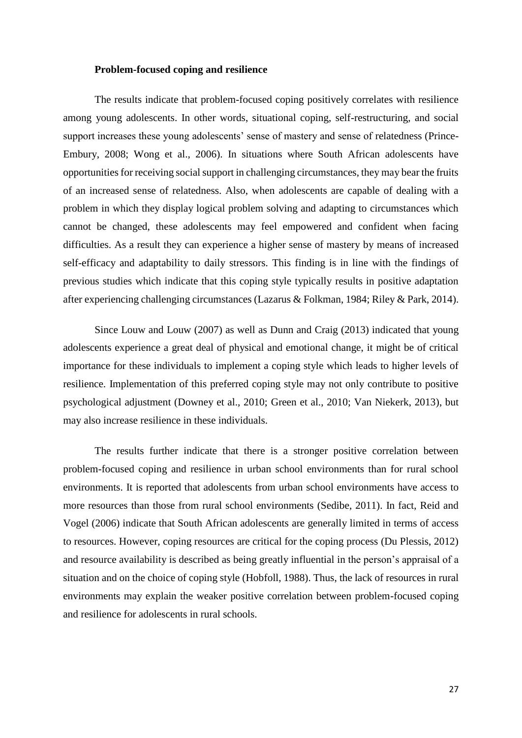#### **Problem-focused coping and resilience**

<span id="page-34-0"></span>The results indicate that problem-focused coping positively correlates with resilience among young adolescents. In other words, situational coping, self-restructuring, and social support increases these young adolescents' sense of mastery and sense of relatedness (Prince-Embury, 2008; Wong et al., 2006). In situations where South African adolescents have opportunities for receiving social support in challenging circumstances, they may bear the fruits of an increased sense of relatedness. Also, when adolescents are capable of dealing with a problem in which they display logical problem solving and adapting to circumstances which cannot be changed, these adolescents may feel empowered and confident when facing difficulties. As a result they can experience a higher sense of mastery by means of increased self-efficacy and adaptability to daily stressors. This finding is in line with the findings of previous studies which indicate that this coping style typically results in positive adaptation after experiencing challenging circumstances (Lazarus & Folkman, 1984; Riley & Park, 2014).

Since Louw and Louw (2007) as well as Dunn and Craig (2013) indicated that young adolescents experience a great deal of physical and emotional change, it might be of critical importance for these individuals to implement a coping style which leads to higher levels of resilience. Implementation of this preferred coping style may not only contribute to positive psychological adjustment (Downey et al., 2010; Green et al., 2010; Van Niekerk, 2013), but may also increase resilience in these individuals.

The results further indicate that there is a stronger positive correlation between problem-focused coping and resilience in urban school environments than for rural school environments. It is reported that adolescents from urban school environments have access to more resources than those from rural school environments (Sedibe, 2011). In fact, Reid and Vogel (2006) indicate that South African adolescents are generally limited in terms of access to resources. However, coping resources are critical for the coping process (Du Plessis, 2012) and resource availability is described as being greatly influential in the person's appraisal of a situation and on the choice of coping style (Hobfoll, 1988). Thus, the lack of resources in rural environments may explain the weaker positive correlation between problem-focused coping and resilience for adolescents in rural schools.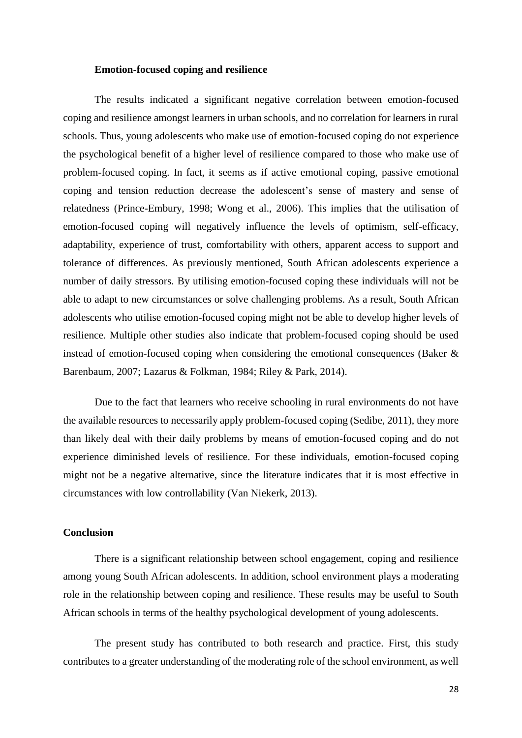#### **Emotion-focused coping and resilience**

<span id="page-35-0"></span>The results indicated a significant negative correlation between emotion-focused coping and resilience amongst learners in urban schools, and no correlation for learners in rural schools. Thus, young adolescents who make use of emotion-focused coping do not experience the psychological benefit of a higher level of resilience compared to those who make use of problem-focused coping. In fact, it seems as if active emotional coping, passive emotional coping and tension reduction decrease the adolescent's sense of mastery and sense of relatedness (Prince-Embury, 1998; Wong et al., 2006). This implies that the utilisation of emotion-focused coping will negatively influence the levels of optimism, self-efficacy, adaptability, experience of trust, comfortability with others, apparent access to support and tolerance of differences. As previously mentioned, South African adolescents experience a number of daily stressors. By utilising emotion-focused coping these individuals will not be able to adapt to new circumstances or solve challenging problems. As a result, South African adolescents who utilise emotion-focused coping might not be able to develop higher levels of resilience. Multiple other studies also indicate that problem-focused coping should be used instead of emotion-focused coping when considering the emotional consequences (Baker & Barenbaum, 2007; Lazarus & Folkman, 1984; Riley & Park, 2014).

Due to the fact that learners who receive schooling in rural environments do not have the available resources to necessarily apply problem-focused coping (Sedibe, 2011), they more than likely deal with their daily problems by means of emotion-focused coping and do not experience diminished levels of resilience. For these individuals, emotion-focused coping might not be a negative alternative, since the literature indicates that it is most effective in circumstances with low controllability (Van Niekerk, 2013).

# <span id="page-35-1"></span>**Conclusion**

There is a significant relationship between school engagement, coping and resilience among young South African adolescents. In addition, school environment plays a moderating role in the relationship between coping and resilience. These results may be useful to South African schools in terms of the healthy psychological development of young adolescents.

The present study has contributed to both research and practice. First, this study contributes to a greater understanding of the moderating role of the school environment, as well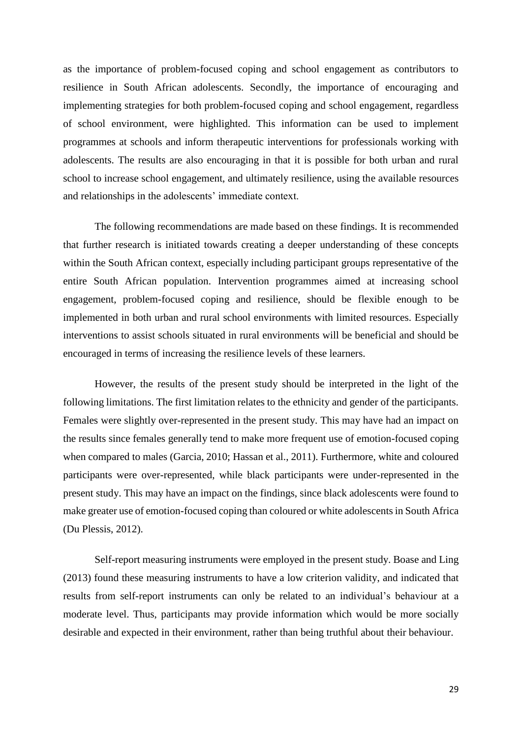as the importance of problem-focused coping and school engagement as contributors to resilience in South African adolescents. Secondly, the importance of encouraging and implementing strategies for both problem-focused coping and school engagement, regardless of school environment, were highlighted. This information can be used to implement programmes at schools and inform therapeutic interventions for professionals working with adolescents. The results are also encouraging in that it is possible for both urban and rural school to increase school engagement, and ultimately resilience, using the available resources and relationships in the adolescents' immediate context.

The following recommendations are made based on these findings. It is recommended that further research is initiated towards creating a deeper understanding of these concepts within the South African context, especially including participant groups representative of the entire South African population. Intervention programmes aimed at increasing school engagement, problem-focused coping and resilience, should be flexible enough to be implemented in both urban and rural school environments with limited resources. Especially interventions to assist schools situated in rural environments will be beneficial and should be encouraged in terms of increasing the resilience levels of these learners.

However, the results of the present study should be interpreted in the light of the following limitations. The first limitation relates to the ethnicity and gender of the participants. Females were slightly over-represented in the present study. This may have had an impact on the results since females generally tend to make more frequent use of emotion-focused coping when compared to males (Garcia, 2010; Hassan et al., 2011). Furthermore, white and coloured participants were over-represented, while black participants were under-represented in the present study. This may have an impact on the findings, since black adolescents were found to make greater use of emotion-focused coping than coloured or white adolescents in South Africa (Du Plessis, 2012).

Self-report measuring instruments were employed in the present study. Boase and Ling (2013) found these measuring instruments to have a low criterion validity, and indicated that results from self-report instruments can only be related to an individual's behaviour at a moderate level. Thus, participants may provide information which would be more socially desirable and expected in their environment, rather than being truthful about their behaviour.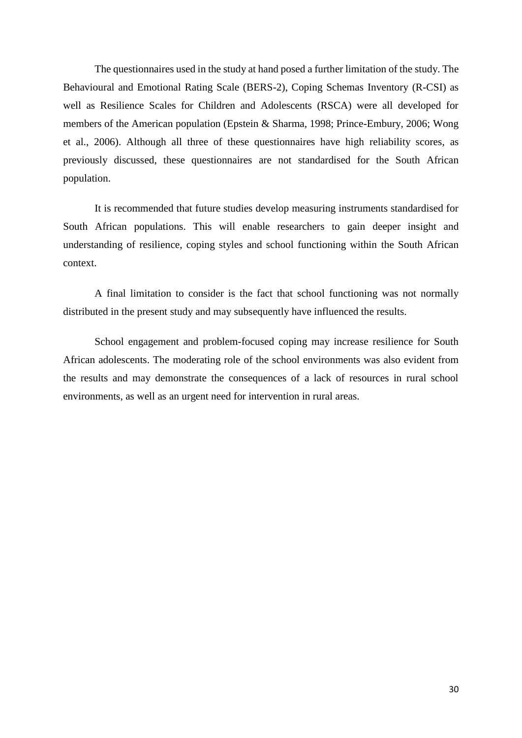The questionnaires used in the study at hand posed a further limitation of the study. The Behavioural and Emotional Rating Scale (BERS-2), Coping Schemas Inventory (R-CSI) as well as Resilience Scales for Children and Adolescents (RSCA) were all developed for members of the American population (Epstein & Sharma, 1998; Prince-Embury, 2006; Wong et al., 2006). Although all three of these questionnaires have high reliability scores, as previously discussed, these questionnaires are not standardised for the South African population.

It is recommended that future studies develop measuring instruments standardised for South African populations. This will enable researchers to gain deeper insight and understanding of resilience, coping styles and school functioning within the South African context.

A final limitation to consider is the fact that school functioning was not normally distributed in the present study and may subsequently have influenced the results.

School engagement and problem-focused coping may increase resilience for South African adolescents. The moderating role of the school environments was also evident from the results and may demonstrate the consequences of a lack of resources in rural school environments, as well as an urgent need for intervention in rural areas.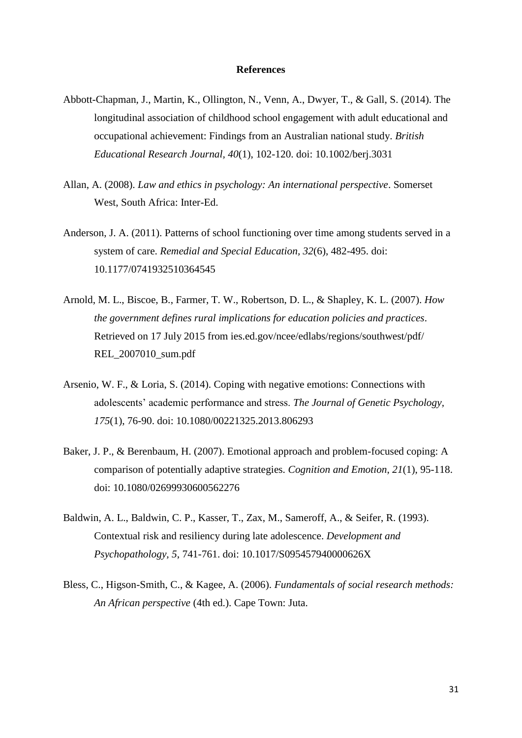#### **References**

- <span id="page-38-0"></span>Abbott-Chapman, J., Martin, K., Ollington, N., Venn, A., Dwyer, T., & Gall, S. (2014). The longitudinal association of childhood school engagement with adult educational and occupational achievement: Findings from an Australian national study. *British Educational Research Journal, 40*(1), 102-120. doi: 10.1002/berj.3031
- Allan, A. (2008). *Law and ethics in psychology: An international perspective*. Somerset West, South Africa: Inter-Ed.
- Anderson, J. A. (2011). Patterns of school functioning over time among students served in a system of care. *Remedial and Special Education, 32*(6), 482-495. doi: 10.1177/0741932510364545
- Arnold, M. L., Biscoe, B., Farmer, T. W., Robertson, D. L., & Shapley, K. L. (2007). *How the government defines rural implications for education policies and practices*. Retrieved on 17 July 2015 from ies.ed.gov/ncee/edlabs/regions/southwest/pdf/ REL\_2007010\_sum.pdf
- Arsenio, W. F., & Loria, S. (2014). Coping with negative emotions: Connections with adolescents' academic performance and stress. *The Journal of Genetic Psychology, 175*(1), 76-90. doi: 10.1080/00221325.2013.806293
- Baker, J. P., & Berenbaum, H. (2007). Emotional approach and problem-focused coping: A comparison of potentially adaptive strategies. *Cognition and Emotion*, *21*(1), 95-118. doi: 10.1080/02699930600562276
- Baldwin, A. L., Baldwin, C. P., Kasser, T., Zax, M., Sameroff, A., & Seifer, R. (1993). Contextual risk and resiliency during late adolescence. *Development and Psychopathology, 5*, 741-761. doi: 10.1017/S095457940000626X
- Bless, C., Higson-Smith, C., & Kagee, A. (2006). *Fundamentals of social research methods: An African perspective* (4th ed.). Cape Town: Juta.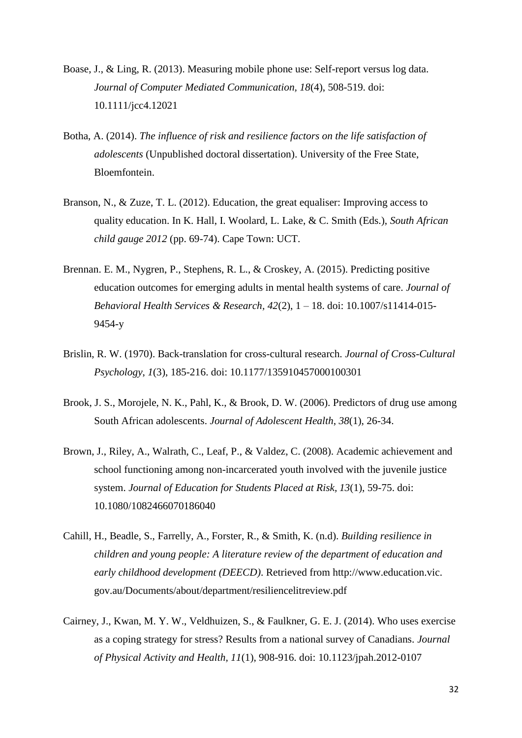- Boase, J., & Ling, R. (2013). Measuring mobile phone use: Self-report versus log data. *Journal of Computer Mediated Communication, 18*(4), 508-519. doi: 10.1111/jcc4.12021
- Botha, A. (2014). *The influence of risk and resilience factors on the life satisfaction of adolescents* (Unpublished doctoral dissertation). University of the Free State, Bloemfontein.
- Branson, N., & Zuze, T. L. (2012). Education, the great equaliser: Improving access to quality education. In K. Hall, I. Woolard, L. Lake, & C. Smith (Eds.), *South African child gauge 2012* (pp. 69-74). Cape Town: UCT.
- Brennan. E. M., Nygren, P., Stephens, R. L., & Croskey, A. (2015). Predicting positive education outcomes for emerging adults in mental health systems of care. *Journal of Behavioral Health Services & Research, 42*(2), 1 – 18. doi: 10.1007/s11414-015- 9454-y
- Brislin, R. W. (1970). Back-translation for cross-cultural research. *Journal of Cross-Cultural Psychology*, *1*(3), 185-216. doi: 10.1177/135910457000100301
- Brook, J. S., Morojele, N. K., Pahl, K., & Brook, D. W. (2006). Predictors of drug use among South African adolescents. *Journal of Adolescent Health*, *38*(1), 26-34.
- Brown, J., Riley, A., Walrath, C., Leaf, P., & Valdez, C. (2008). Academic achievement and school functioning among non-incarcerated youth involved with the juvenile justice system. *Journal of Education for Students Placed at Risk, 13*(1), 59-75. doi: 10.1080/1082466070186040
- Cahill, H., Beadle, S., Farrelly, A., Forster, R., & Smith, K. (n.d). *Building resilience in children and young people: A literature review of the department of education and early childhood development (DEECD)*. Retrieved from http://www.education.vic. gov.au/Documents/about/department/resiliencelitreview.pdf
- Cairney, J., Kwan, M. Y. W., Veldhuizen, S., & Faulkner, G. E. J. (2014). Who uses exercise as a coping strategy for stress? Results from a national survey of Canadians. *Journal of Physical Activity and Health, 11*(1), 908-916. doi: 10.1123/jpah.2012-0107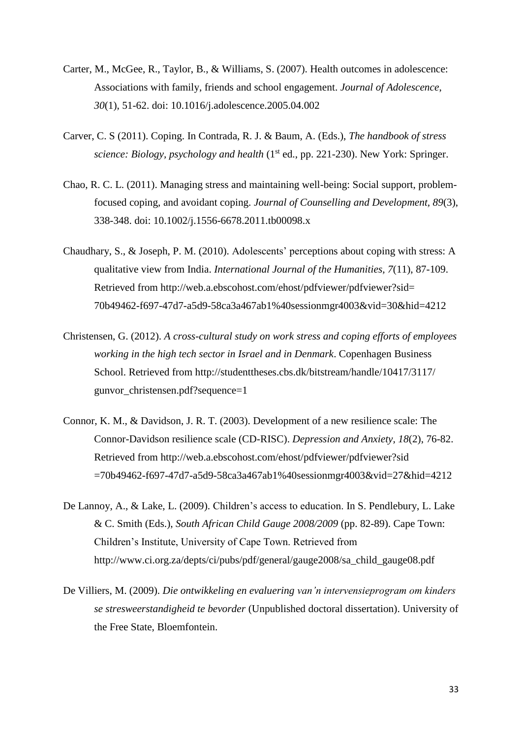- Carter, M., McGee, R., Taylor, B., & Williams, S. (2007). Health outcomes in adolescence: Associations with family, friends and school engagement. *Journal of Adolescence*, *30*(1), 51-62. doi: 10.1016/j.adolescence.2005.04.002
- Carver, C. S (2011). Coping. In Contrada, R. J. & Baum, A. (Eds.), *The handbook of stress science: Biology, psychology and health* (1<sup>st</sup> ed., pp. 221-230). New York: Springer.
- Chao, R. C. L. (2011). Managing stress and maintaining well-being: Social support, problemfocused coping, and avoidant coping. *Journal of Counselling and Development, 89*(3), 338-348. doi: 10.1002/j.1556-6678.2011.tb00098.x
- Chaudhary, S., & Joseph, P. M. (2010). Adolescents' perceptions about coping with stress: A qualitative view from India. *International Journal of the Humanities, 7*(11), 87-109. Retrieved from http://web.a.ebscohost.com/ehost/pdfviewer/pdfviewer?sid= 70b49462-f697-47d7-a5d9-58ca3a467ab1%40sessionmgr4003&vid=30&hid=4212
- Christensen, G. (2012). *A cross-cultural study on work stress and coping efforts of employees working in the high tech sector in Israel and in Denmark*. Copenhagen Business School. Retrieved from http://studenttheses.cbs.dk/bitstream/handle/10417/3117/ gunvor\_christensen.pdf?sequence=1
- Connor, K. M., & Davidson, J. R. T. (2003). Development of a new resilience scale: The Connor-Davidson resilience scale (CD-RISC). *Depression and Anxiety, 18*(2), 76-82. Retrieved from http://web.a.ebscohost.com/ehost/pdfviewer/pdfviewer?sid =70b49462-f697-47d7-a5d9-58ca3a467ab1%40sessionmgr4003&vid=27&hid=4212
- De Lannoy, A., & Lake, L. (2009). Children's access to education. In S. Pendlebury, L. Lake & C. Smith (Eds.), *South African Child Gauge 2008/2009* (pp. 82-89). Cape Town: Children's Institute, University of Cape Town. Retrieved from http://www.ci.org.za/depts/ci/pubs/pdf/general/gauge2008/sa\_child\_gauge08.pdf
- De Villiers, M. (2009). *Die ontwikkeling en evaluering van'n intervensieprogram om kinders se stresweerstandigheid te bevorder* (Unpublished doctoral dissertation). University of the Free State, Bloemfontein.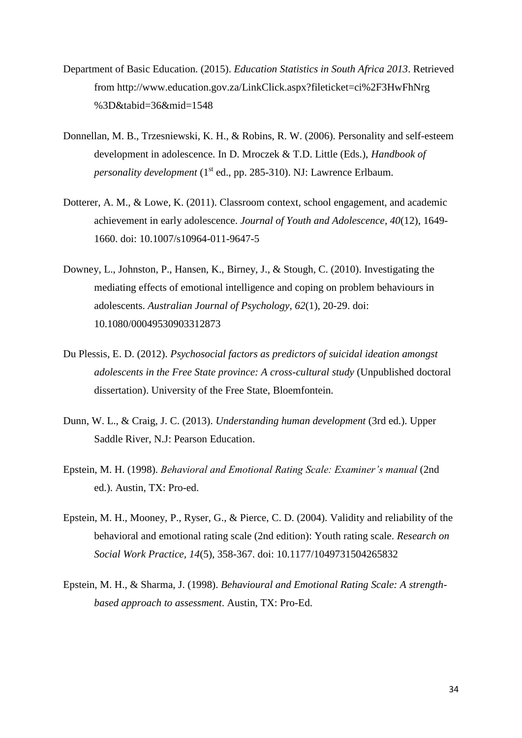- Department of Basic Education. (2015). *Education Statistics in South Africa 2013*. Retrieved from http://www.education.gov.za/LinkClick.aspx?fileticket=ci%2F3HwFhNrg %3D&tabid=36&mid=1548
- Donnellan, M. B., Trzesniewski, K. H., & Robins, R. W. (2006). Personality and self-esteem development in adolescence. In D. Mroczek & T.D. Little (Eds.), *Handbook of personality development* (1<sup>st</sup> ed., pp. 285-310). NJ: Lawrence Erlbaum.
- Dotterer, A. M., & Lowe, K. (2011). Classroom context, school engagement, and academic achievement in early adolescence. *Journal of Youth and Adolescence*, *40*(12), 1649- 1660. doi: 10.1007/s10964-011-9647-5
- Downey, L., Johnston, P., Hansen, K., Birney, J., & Stough, C. (2010). Investigating the mediating effects of emotional intelligence and coping on problem behaviours in adolescents. *Australian Journal of Psychology*, *62*(1), 20-29. doi: 10.1080/00049530903312873
- Du Plessis, E. D. (2012). *Psychosocial factors as predictors of suicidal ideation amongst adolescents in the Free State province: A cross-cultural study* (Unpublished doctoral dissertation). University of the Free State, Bloemfontein.
- Dunn, W. L., & Craig, J. C. (2013). *Understanding human development* (3rd ed.). Upper Saddle River, N.J: Pearson Education.
- Epstein, M. H. (1998). *Behavioral and Emotional Rating Scale: Examiner's manual* (2nd ed.). Austin, TX: Pro-ed.
- Epstein, M. H., Mooney, P., Ryser, G., & Pierce, C. D. (2004). Validity and reliability of the behavioral and emotional rating scale (2nd edition): Youth rating scale. *Research on Social Work Practice, 14*(5), 358-367. doi: 10.1177/1049731504265832
- Epstein, M. H., & Sharma, J. (1998). *Behavioural and Emotional Rating Scale: A strengthbased approach to assessment*. Austin, TX: Pro-Ed.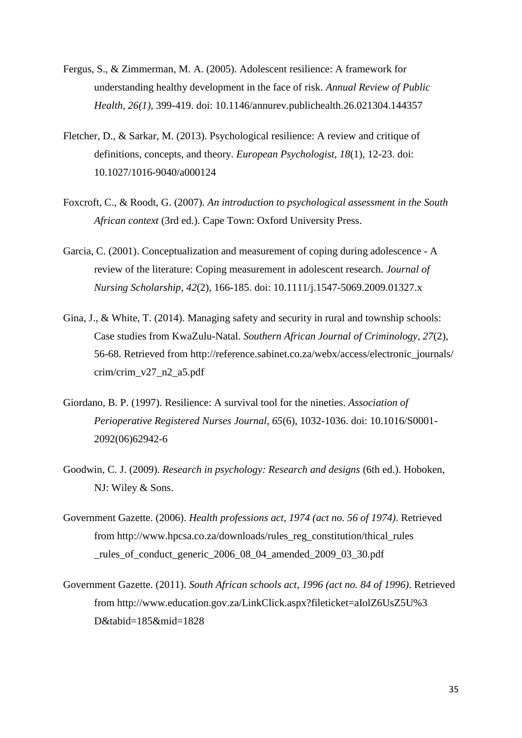- Fergus, S., & Zimmerman, M. A. (2005). Adolescent resilience: A framework for understanding healthy development in the face of risk. *Annual Review of Public Health, 26(1)*, 399-419. doi: 10.1146/annurev.publichealth.26.021304.144357
- Fletcher, D., & Sarkar, M. (2013). Psychological resilience: A review and critique of definitions, concepts, and theory. *European Psychologist, 18*(1), 12-23. doi: 10.1027/1016-9040/a000124
- Foxcroft, C., & Roodt, G. (2007). *An introduction to psychological assessment in the South African context* (3rd ed.). Cape Town: Oxford University Press.
- Garcia, C. (2001). Conceptualization and measurement of coping during adolescence A review of the literature: Coping measurement in adolescent research. *Journal of Nursing Scholarship*, *42*(2), 166-185. doi: 10.1111/j.1547-5069.2009.01327.x
- Gina, J., & White, T. (2014). Managing safety and security in rural and township schools: Case studies from KwaZulu-Natal. *Southern African Journal of Criminology, 27*(2), 56-68. Retrieved from http://reference.sabinet.co.za/webx/access/electronic\_journals/ crim/crim\_v27\_n2\_a5.pdf
- Giordano, B. P. (1997). Resilience: A survival tool for the nineties. *Association of Perioperative Registered Nurses Journal, 65*(6), 1032-1036. doi: 10.1016/S0001- 2092(06)62942-6
- Goodwin, C. J. (2009). *Research in psychology: Research and designs* (6th ed.). Hoboken, NJ: Wiley & Sons.
- Government Gazette. (2006). *Health professions act, 1974 (act no. 56 of 1974)*. Retrieved from http://www.hpcsa.co.za/downloads/rules\_reg\_constitution/thical\_rules \_rules\_of\_conduct\_generic\_2006\_08\_04\_amended\_2009\_03\_30.pdf
- Government Gazette. (2011). *South African schools act, 1996 (act no. 84 of 1996)*. Retrieved from http://www.education.gov.za/LinkClick.aspx?fileticket=aIolZ6UsZ5U%3 D&tabid=185&mid=1828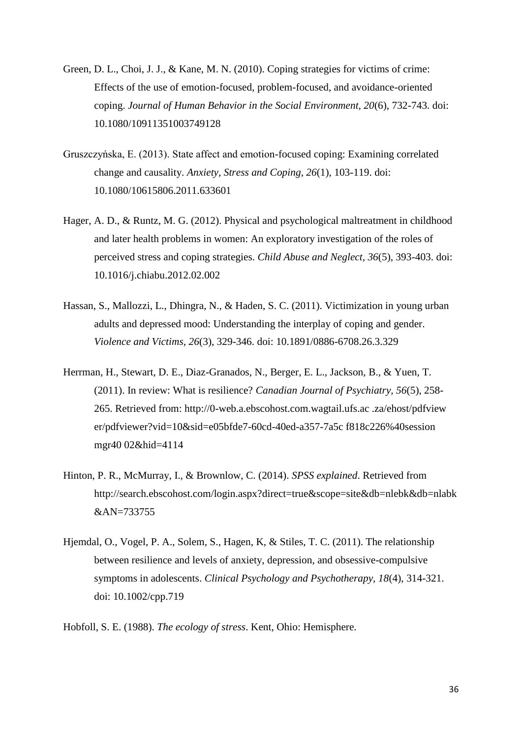- Green, D. L., Choi, J. J., & Kane, M. N. (2010). Coping strategies for victims of crime: Effects of the use of emotion-focused, problem-focused, and avoidance-oriented coping. *Journal of Human Behavior in the Social Environment, 20*(6), 732-743. doi: 10.1080/10911351003749128
- Gruszczyńska, E. (2013). State affect and emotion-focused coping: Examining correlated change and causality. *Anxiety, Stress and Coping*, *26*(1), 103-119. doi: 10.1080/10615806.2011.633601
- Hager, A. D., & Runtz, M. G. (2012). Physical and psychological maltreatment in childhood and later health problems in women: An exploratory investigation of the roles of perceived stress and coping strategies. *Child Abuse and Neglect*, *36*(5), 393-403. doi: 10.1016/j.chiabu.2012.02.002
- Hassan, S., Mallozzi, L., Dhingra, N., & Haden, S. C. (2011). Victimization in young urban adults and depressed mood: Understanding the interplay of coping and gender. *Violence and Victims, 26*(3), 329-346. doi: 10.1891/0886-6708.26.3.329
- Herrman, H., Stewart, D. E., Diaz-Granados, N., Berger, E. L., Jackson, B., & Yuen, T. (2011). In review: What is resilience? *Canadian Journal of Psychiatry, 56*(5), 258- 265. Retrieved from: http://0-web.a.ebscohost.com.wagtail.ufs.ac .za/ehost/pdfview er/pdfviewer?vid=10&sid=e05bfde7-60cd-40ed-a357-7a5c f818c226%40session mgr40 02&hid=4114
- Hinton, P. R., McMurray, I., & Brownlow, C. (2014). *SPSS explained*. Retrieved from http://search.ebscohost.com/login.aspx?direct=true&scope=site&db=nlebk&db=nlabk &AN=733755
- Hjemdal, O., Vogel, P. A., Solem, S., Hagen, K, & Stiles, T. C. (2011). The relationship between resilience and levels of anxiety, depression, and obsessive-compulsive symptoms in adolescents. *Clinical Psychology and Psychotherapy, 18*(4), 314-321. doi: 10.1002/cpp.719
- Hobfoll, S. E. (1988). *The ecology of stress*. Kent, Ohio: Hemisphere.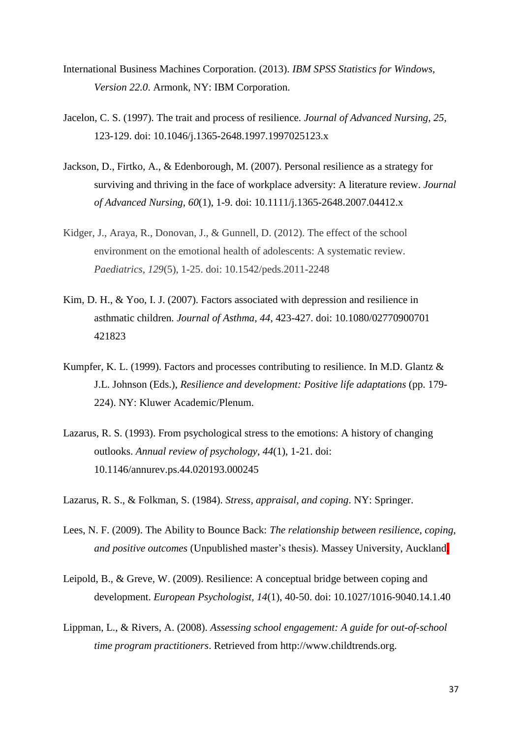- International Business Machines Corporation. (2013). *IBM SPSS Statistics for Windows, Version 22.0*. Armonk, NY: IBM Corporation.
- Jacelon, C. S. (1997). The trait and process of resilience*. Journal of Advanced Nursing, 25*, 123-129. doi: 10.1046/j.1365-2648.1997.1997025123.x
- Jackson, D., Firtko, A., & Edenborough, M. (2007). Personal resilience as a strategy for surviving and thriving in the face of workplace adversity: A literature review. *Journal of Advanced Nursing, 60*(1), 1-9. doi: 10.1111/j.1365-2648.2007.04412.x
- Kidger, J., Araya, R., Donovan, J., & Gunnell, D. (2012). The effect of the school environment on the emotional health of adolescents: A systematic review. *Paediatrics, 129*(5), 1-25. doi: 10.1542/peds.2011-2248
- Kim, D. H., & Yoo, I. J. (2007). Factors associated with depression and resilience in asthmatic children. *Journal of Asthma, 44*, 423-427. doi: 10.1080/02770900701 421823
- Kumpfer, K. L. (1999). Factors and processes contributing to resilience. In M.D. Glantz  $\&$ J.L. Johnson (Eds.), *Resilience and development: Positive life adaptations* (pp. 179- 224). NY: Kluwer Academic/Plenum.
- Lazarus, R. S. (1993). From psychological stress to the emotions: A history of changing outlooks. *Annual review of psychology, 44*(1), 1-21. doi: 10.1146/annurev.ps.44.020193.000245
- Lazarus, R. S., & Folkman, S. (1984). *Stress, appraisal, and coping*. NY: Springer.
- Lees, N. F. (2009). The Ability to Bounce Back: *The relationship between resilience, coping, and positive outcomes* (Unpublished master's thesis). Massey University, Auckland.
- Leipold, B., & Greve, W. (2009). Resilience: A conceptual bridge between coping and development. *European Psychologist, 14*(1), 40-50. doi: 10.1027/1016-9040.14.1.40
- Lippman, L., & Rivers, A. (2008). *Assessing school engagement: A guide for out-of-school time program practitioners*. Retrieved from http://www.childtrends.org.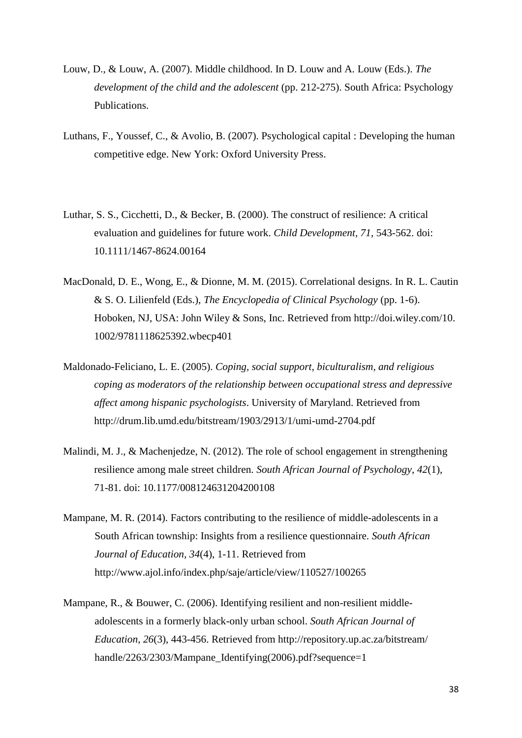- Louw, D., & Louw, A. (2007). Middle childhood. In D. Louw and A. Louw (Eds.). *The development of the child and the adolescent* (pp. 212-275). South Africa: Psychology Publications.
- Luthans, F., Youssef, C., & Avolio, B. (2007). Psychological capital : Developing the human competitive edge. New York: Oxford University Press.
- Luthar, S. S., Cicchetti, D., & Becker, B. (2000). The construct of resilience: A critical evaluation and guidelines for future work. *Child Development, 71*, 543-562. doi: 10.1111/1467-8624.00164
- MacDonald, D. E., Wong, E., & Dionne, M. M. (2015). Correlational designs. In R. L. Cautin & S. O. Lilienfeld (Eds.), *The Encyclopedia of Clinical Psychology* (pp. 1-6). Hoboken, NJ, USA: John Wiley & Sons, Inc. Retrieved from http://doi.wiley.com/10. 1002/9781118625392.wbecp401
- Maldonado-Feliciano, L. E. (2005). *Coping, social support, biculturalism, and religious coping as moderators of the relationship between occupational stress and depressive affect among hispanic psychologists*. University of Maryland. Retrieved from http://drum.lib.umd.edu/bitstream/1903/2913/1/umi-umd-2704.pdf
- Malindi, M. J., & Machenjedze, N. (2012). The role of school engagement in strengthening resilience among male street children. *South African Journal of Psychology*, *42*(1), 71-81. doi: 10.1177/008124631204200108
- Mampane, M. R. (2014). Factors contributing to the resilience of middle-adolescents in a South African township: Insights from a resilience questionnaire. *South African Journal of Education, 34*(4), 1-11. Retrieved from http://www.ajol.info/index.php/saje/article/view/110527/100265
- Mampane, R., & Bouwer, C. (2006). Identifying resilient and non-resilient middleadolescents in a formerly black-only urban school. *South African Journal of Education*, *26*(3), 443-456. Retrieved from http://repository.up.ac.za/bitstream/ handle/2263/2303/Mampane\_Identifying(2006).pdf?sequence=1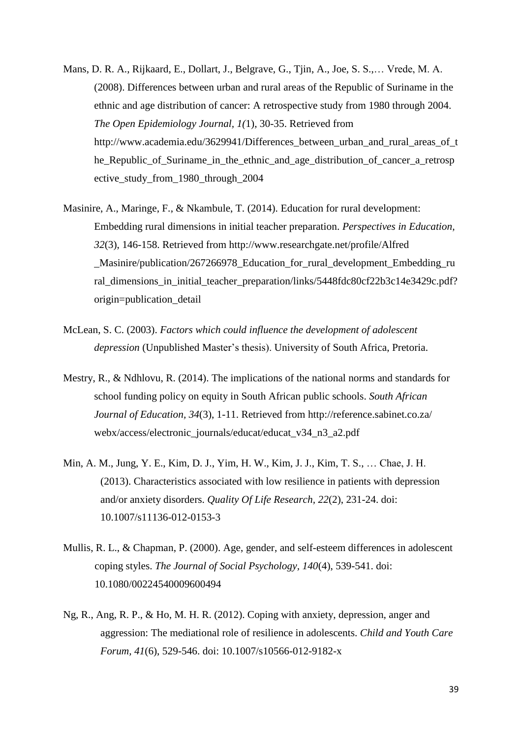- Mans, D. R. A., Rijkaard, E., Dollart, J., Belgrave, G., Tjin, A., Joe, S. S.,… Vrede, M. A. (2008). Differences between urban and rural areas of the Republic of Suriname in the ethnic and age distribution of cancer: A retrospective study from 1980 through 2004. *The Open Epidemiology Journal, 1(*1), 30-35. Retrieved from http://www.academia.edu/3629941/Differences\_between\_urban\_and\_rural\_areas\_of\_t he Republic of Suriname in the ethnic and age distribution of cancer a retrosp ective\_study\_from\_1980\_through\_2004
- Masinire, A., Maringe, F., & Nkambule, T. (2014). Education for rural development: Embedding rural dimensions in initial teacher preparation. *Perspectives in Education, 32*(3), 146-158. Retrieved from http://www.researchgate.net/profile/Alfred \_Masinire/publication/267266978\_Education\_for\_rural\_development\_Embedding\_ru ral\_dimensions\_in\_initial\_teacher\_preparation/links/5448fdc80cf22b3c14e3429c.pdf? origin=publication\_detail
- McLean, S. C. (2003). *Factors which could influence the development of adolescent depression* (Unpublished Master's thesis). University of South Africa, Pretoria.
- Mestry, R., & Ndhlovu, R. (2014). The implications of the national norms and standards for school funding policy on equity in South African public schools. *South African Journal of Education, 34*(3), 1-11. Retrieved from http://reference.sabinet.co.za/ webx/access/electronic\_journals/educat/educat\_v34\_n3\_a2.pdf
- Min, A. M., Jung, Y. E., Kim, D. J., Yim, H. W., Kim, J. J., Kim, T. S., … Chae, J. H. (2013). Characteristics associated with low resilience in patients with depression and/or anxiety disorders. *Quality Of Life Research, 22*(2), 231-24. doi: 10.1007/s11136-012-0153-3
- Mullis, R. L., & Chapman, P. (2000). Age, gender, and self-esteem differences in adolescent coping styles. *The Journal of Social Psychology, 140*(4), 539-541. doi: 10.1080/00224540009600494
- Ng, R., Ang, R. P., & Ho, M. H. R. (2012). Coping with anxiety, depression, anger and aggression: The mediational role of resilience in adolescents. *Child and Youth Care Forum, 41*(6), 529-546. doi: 10.1007/s10566-012-9182-x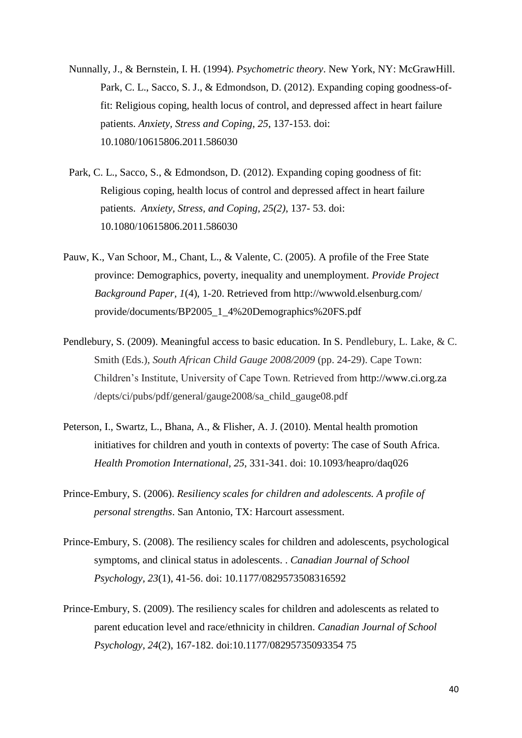- Nunnally, J., & Bernstein, I. H. (1994). *Psychometric theory*. New York, NY: McGrawHill. Park, C. L., Sacco, S. J., & Edmondson, D. (2012). Expanding coping goodness-offit: Religious coping, health locus of control, and depressed affect in heart failure patients. *Anxiety, Stress and Coping*, *25*, 137-153. doi: 10.1080/10615806.2011.586030
- Park, C. L., Sacco, S., & Edmondson, D. (2012). Expanding coping goodness of fit: Religious coping, health locus of control and depressed affect in heart failure patients. *Anxiety, Stress, and Coping, 25(2)*, 137- 53. doi: 10.1080/10615806.2011.586030
- Pauw, K., Van Schoor, M., Chant, L., & Valente, C. (2005). A profile of the Free State province: Demographics, poverty, inequality and unemployment. *Provide Project Background Paper, 1*(4), 1-20. Retrieved from http://wwwold.elsenburg.com/ provide/documents/BP2005\_1\_4%20Demographics%20FS.pdf
- Pendlebury, S. (2009). Meaningful access to basic education. In S. Pendlebury, L. Lake, & C. Smith (Eds.), *South African Child Gauge 2008/2009* (pp. 24-29). Cape Town: Children's Institute, University of Cape Town. Retrieved from http://www.ci.org.za /depts/ci/pubs/pdf/general/gauge2008/sa\_child\_gauge08.pdf
- Peterson, I., Swartz, L., Bhana, A., & Flisher, A. J. (2010). Mental health promotion initiatives for children and youth in contexts of poverty: The case of South Africa. *Health Promotion International, 25*, 331-341. doi: 10.1093/heapro/daq026
- Prince-Embury, S. (2006). *Resiliency scales for children and adolescents. A profile of personal strengths*. San Antonio, TX: Harcourt assessment.
- Prince-Embury, S. (2008). The resiliency scales for children and adolescents, psychological symptoms, and clinical status in adolescents. . *Canadian Journal of School Psychology, 23*(1), 41-56. doi: 10.1177/0829573508316592
- Prince-Embury, S. (2009). The resiliency scales for children and adolescents as related to parent education level and race/ethnicity in children. *Canadian Journal of School Psychology, 24*(2), 167-182. doi:10.1177/08295735093354 75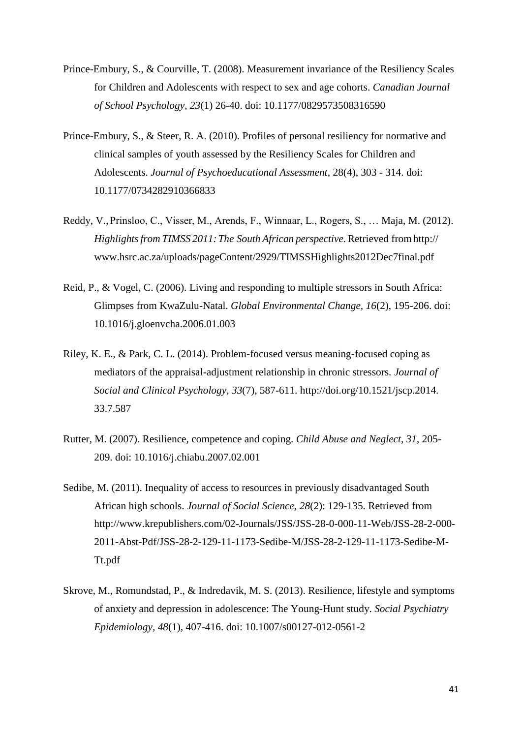- Prince-Embury, S., & Courville, T. (2008). Measurement invariance of the Resiliency Scales for Children and Adolescents with respect to sex and age cohorts. *Canadian Journal of School Psychology, 23*(1) 26-40. doi: 10.1177/0829573508316590
- Prince-Embury, S., & Steer, R. A. (2010). Profiles of personal resiliency for normative and clinical samples of youth assessed by the Resiliency Scales for Children and Adolescents. *Journal of Psychoeducational Assessment*, 28(4), 303 - 314. doi: 10.1177/0734282910366833
- Reddy, V.,Prinsloo, C., Visser, M., Arends, F., Winnaar, L., Rogers, S., … Maja, M. (2012). *Highlightsfrom TIMSS 2011:The South African perspective*. Retrieved fromhttp:// www.hsrc.ac.za/uploads/pageContent/2929/TIMSSHighlights2012Dec7final.pdf
- Reid, P., & Vogel, C. (2006). Living and responding to multiple stressors in South Africa: Glimpses from KwaZulu-Natal. *Global Environmental Change, 16*(2), 195-206. doi: 10.1016/j.gloenvcha.2006.01.003
- Riley, K. E., & Park, C. L. (2014). Problem-focused versus meaning-focused coping as mediators of the appraisal-adjustment relationship in chronic stressors. *Journal of Social and Clinical Psychology*, *33*(7), 587-611. http://doi.org/10.1521/jscp.2014. 33.7.587
- Rutter, M. (2007). Resilience, competence and coping. *Child Abuse and Neglect, 31*, 205- 209. doi: 10.1016/j.chiabu.2007.02.001
- Sedibe, M. (2011). Inequality of access to resources in previously disadvantaged South African high schools. *Journal of Social Science, 28*(2): 129-135. Retrieved from http://www.krepublishers.com/02-Journals/JSS/JSS-28-0-000-11-Web/JSS-28-2-000- 2011-Abst-Pdf/JSS-28-2-129-11-1173-Sedibe-M/JSS-28-2-129-11-1173-Sedibe-M-Tt.pdf
- Skrove, M., Romundstad, P., & Indredavik, M. S. (2013). Resilience, lifestyle and symptoms of anxiety and depression in adolescence: The Young-Hunt study. *Social Psychiatry Epidemiology, 48*(1), 407-416. doi: 10.1007/s00127-012-0561-2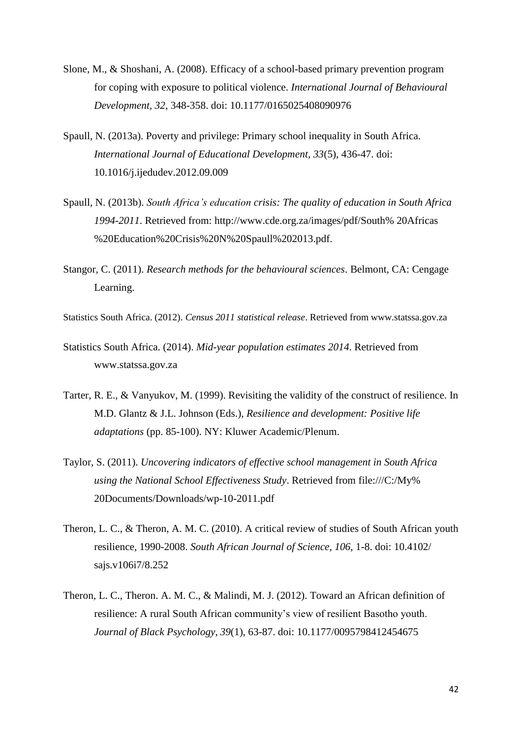- Slone, M., & Shoshani, A. (2008). Efficacy of a school-based primary prevention program for coping with exposure to political violence. *International Journal of Behavioural Development, 32*, 348-358. doi: 10.1177/0165025408090976
- Spaull, N. (2013a). Poverty and privilege: Primary school inequality in South Africa. *International Journal of Educational Development, 33*(5), 436-47. doi: 10.1016/j.ijedudev.2012.09.009
- Spaull, N. (2013b). *South Africa's education crisis: The quality of education in South Africa 1994-2011*. Retrieved from: http://www.cde.org.za/images/pdf/South% 20Africas %20Education%20Crisis%20N%20Spaull%202013.pdf.
- Stangor, C. (2011). *Research methods for the behavioural sciences*. Belmont, CA: Cengage Learning.
- Statistics South Africa. (2012). *Census 2011 statistical release*. Retrieved from www.statssa.gov.za
- Statistics South Africa. (2014). *Mid-year population estimates 2014*. Retrieved from www.statssa.gov.za
- Tarter, R. E., & Vanyukov, M. (1999). Revisiting the validity of the construct of resilience. In M.D. Glantz & J.L. Johnson (Eds.), *Resilience and development: Positive life adaptations* (pp. 85-100). NY: Kluwer Academic/Plenum.
- Taylor, S. (2011). *Uncovering indicators of effective school management in South Africa using the National School Effectiveness Study*. Retrieved from file:///C:/My% 20Documents/Downloads/wp-10-2011.pdf
- Theron, L. C., & Theron, A. M. C. (2010). A critical review of studies of South African youth resilience, 1990-2008. *South African Journal of Science, 106*, 1-8. doi: 10.4102/ sajs.v106i7/8.252
- Theron, L. C., Theron. A. M. C., & Malindi, M. J. (2012). Toward an African definition of resilience: A rural South African community's view of resilient Basotho youth. *Journal of Black Psychology, 39*(1), 63-87. doi: 10.1177/0095798412454675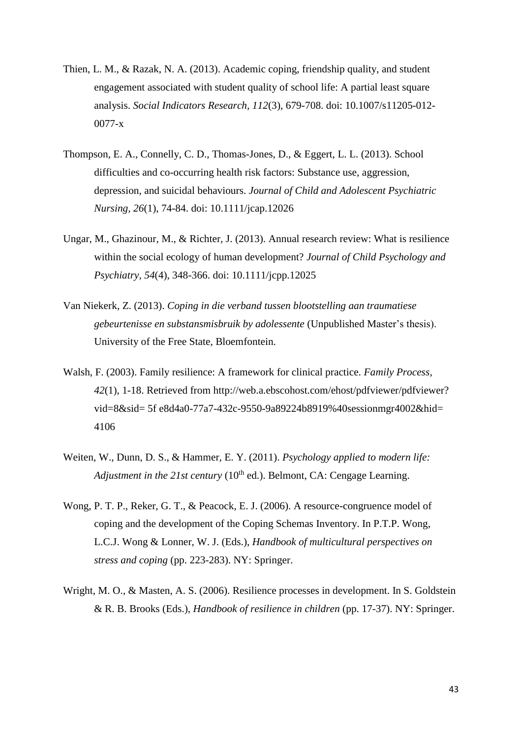- Thien, L. M., & Razak, N. A. (2013). Academic coping, friendship quality, and student engagement associated with student quality of school life: A partial least square analysis. *Social Indicators Research, 112*(3), 679-708. doi: 10.1007/s11205-012- 0077-x
- Thompson, E. A., Connelly, C. D., Thomas-Jones, D., & Eggert, L. L. (2013). School difficulties and co-occurring health risk factors: Substance use, aggression, depression, and suicidal behaviours. *Journal of Child and Adolescent Psychiatric Nursing, 26*(1), 74-84. doi: 10.1111/jcap.12026
- Ungar, M., Ghazinour, M., & Richter, J. (2013). Annual research review: What is resilience within the social ecology of human development? *Journal of Child Psychology and Psychiatry, 54*(4), 348-366. doi: 10.1111/jcpp.12025
- Van Niekerk, Z. (2013). *Coping in die verband tussen blootstelling aan traumatiese gebeurtenisse en substansmisbruik by adolessente* (Unpublished Master's thesis). University of the Free State, Bloemfontein.
- Walsh, F. (2003). Family resilience: A framework for clinical practice. *Family Process*, *42*(1), 1-18. Retrieved from http://web.a.ebscohost.com/ehost/pdfviewer/pdfviewer? vid=8&sid= 5f e8d4a0-77a7-432c-9550-9a89224b8919%40sessionmgr4002&hid= 4106
- Weiten, W., Dunn, D. S., & Hammer, E. Y. (2011). *Psychology applied to modern life: Adjustment in the 21st century* (10<sup>th</sup> ed.). Belmont, CA: Cengage Learning.
- Wong, P. T. P., Reker, G. T., & Peacock, E. J. (2006). A resource-congruence model of coping and the development of the Coping Schemas Inventory. In P.T.P. Wong, L.C.J. Wong & Lonner, W. J. (Eds.), *Handbook of multicultural perspectives on stress and coping* (pp. 223-283). NY: Springer.
- Wright, M. O., & Masten, A. S. (2006). Resilience processes in development. In S. Goldstein & R. B. Brooks (Eds.), *Handbook of resilience in children* (pp. 17-37). NY: Springer.